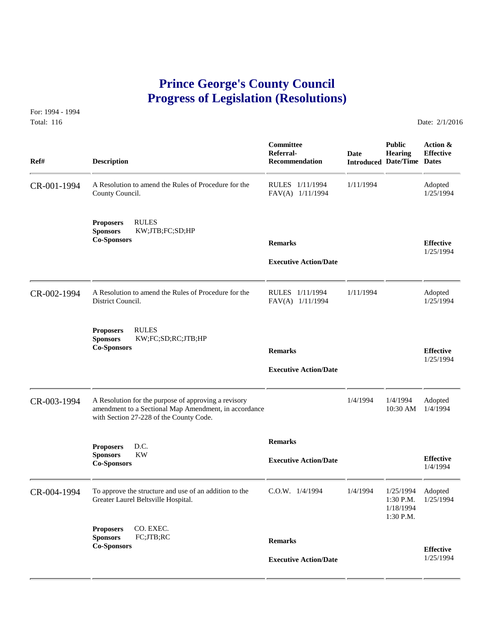## **Prince George's County Council Progress of Legislation (Resolutions)**

For: 1994 - 1994 Total: 116 Date: 2/1/2016

| Ref#        | <b>Description</b>                                                                                                                                       | Committee<br>Referral-<br><b>Recommendation</b> | <b>Date</b> | <b>Public</b><br>Hearing<br><b>Introduced Date/Time Dates</b> | Action &<br><b>Effective</b>  |
|-------------|----------------------------------------------------------------------------------------------------------------------------------------------------------|-------------------------------------------------|-------------|---------------------------------------------------------------|-------------------------------|
| CR-001-1994 | A Resolution to amend the Rules of Procedure for the<br>County Council.                                                                                  | RULES 1/11/1994<br>FAV(A) 1/11/1994             | 1/11/1994   |                                                               | Adopted<br>1/25/1994          |
|             | <b>RULES</b><br><b>Proposers</b><br><b>Sponsors</b><br>KW;JTB;FC;SD;HP<br><b>Co-Sponsors</b>                                                             | <b>Remarks</b><br><b>Executive Action/Date</b>  |             |                                                               | <b>Effective</b><br>1/25/1994 |
| CR-002-1994 | A Resolution to amend the Rules of Procedure for the<br>District Council.                                                                                | RULES 1/11/1994<br>FAV(A) 1/11/1994             | 1/11/1994   |                                                               | Adopted<br>1/25/1994          |
|             | <b>RULES</b><br><b>Proposers</b><br>KW;FC;SD;RC;JTB;HP<br><b>Sponsors</b><br><b>Co-Sponsors</b>                                                          | <b>Remarks</b><br><b>Executive Action/Date</b>  |             |                                                               | <b>Effective</b><br>1/25/1994 |
| CR-003-1994 | A Resolution for the purpose of approving a revisory<br>amendment to a Sectional Map Amendment, in accordance<br>with Section 27-228 of the County Code. |                                                 | 1/4/1994    | 1/4/1994<br>10:30 AM                                          | Adopted<br>1/4/1994           |
|             | <b>Proposers</b><br>D.C.<br>KW<br><b>Sponsors</b><br><b>Co-Sponsors</b>                                                                                  | <b>Remarks</b><br><b>Executive Action/Date</b>  |             |                                                               | <b>Effective</b><br>1/4/1994  |
| CR-004-1994 | To approve the structure and use of an addition to the<br>Greater Laurel Beltsville Hospital.                                                            | $C.0.W.$ $1/4/1994$                             | 1/4/1994    | 1/25/1994<br>1:30 P.M.<br>1/18/1994<br>1:30 P.M.              | Adopted<br>1/25/1994          |
|             | CO. EXEC.<br><b>Proposers</b><br>FC;JTB;RC<br><b>Sponsors</b><br><b>Co-Sponsors</b>                                                                      | <b>Remarks</b><br><b>Executive Action/Date</b>  |             |                                                               | <b>Effective</b><br>1/25/1994 |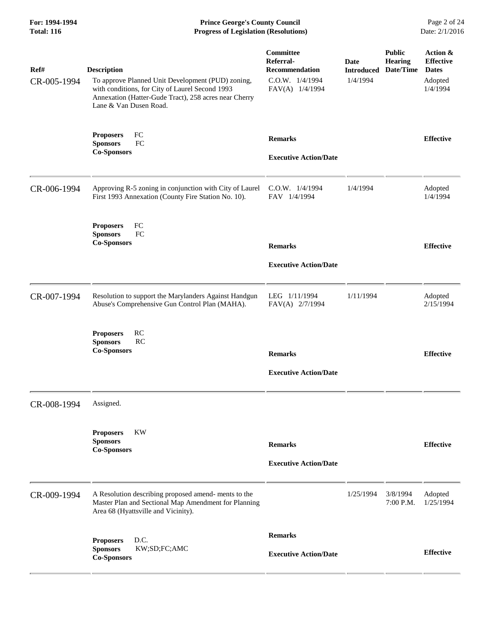**For: 1994-1994 Prince George's County Council** Page 2 of 24<br> **Prince George's County Council** Page 2 of 24<br> **Progress of Legislation (Resolutions)** Date: 2/1/2016 **Total: 116 Progress of Legislation (Resolutions)** 

| Ref#<br>CR-005-1994 | <b>Description</b><br>To approve Planned Unit Development (PUD) zoning,<br>with conditions, for City of Laurel Second 1993<br>Annexation (Hatter-Gude Tract), 258 acres near Cherry<br>Lane & Van Dusen Road. | Committee<br>Referral-<br><b>Recommendation</b><br>C.O.W. 1/4/1994<br>FAV(A) 1/4/1994 | <b>Date</b><br><b>Introduced</b><br>1/4/1994 | <b>Public</b><br><b>Hearing</b><br>Date/Time | Action &<br><b>Effective</b><br><b>Dates</b><br>Adopted<br>1/4/1994 |
|---------------------|---------------------------------------------------------------------------------------------------------------------------------------------------------------------------------------------------------------|---------------------------------------------------------------------------------------|----------------------------------------------|----------------------------------------------|---------------------------------------------------------------------|
|                     | FC<br><b>Proposers</b><br>FC<br><b>Sponsors</b><br><b>Co-Sponsors</b>                                                                                                                                         | <b>Remarks</b><br><b>Executive Action/Date</b>                                        |                                              |                                              | <b>Effective</b>                                                    |
| CR-006-1994         | Approving R-5 zoning in conjunction with City of Laurel<br>First 1993 Annexation (County Fire Station No. 10).                                                                                                | C.O.W. 1/4/1994<br>FAV 1/4/1994                                                       | 1/4/1994                                     |                                              | Adopted<br>1/4/1994                                                 |
|                     | <b>Proposers</b><br>FC<br><b>Sponsors</b><br>FC<br><b>Co-Sponsors</b>                                                                                                                                         | <b>Remarks</b><br><b>Executive Action/Date</b>                                        |                                              |                                              | <b>Effective</b>                                                    |
| CR-007-1994         | Resolution to support the Marylanders Against Handgun<br>Abuse's Comprehensive Gun Control Plan (MAHA).                                                                                                       | LEG 1/11/1994<br>FAV(A) 2/7/1994                                                      | 1/11/1994                                    |                                              | Adopted<br>2/15/1994                                                |
|                     | RC<br><b>Proposers</b><br><b>Sponsors</b><br>RC<br><b>Co-Sponsors</b>                                                                                                                                         | <b>Remarks</b><br><b>Executive Action/Date</b>                                        |                                              |                                              | <b>Effective</b>                                                    |
| CR-008-1994         | Assigned.                                                                                                                                                                                                     |                                                                                       |                                              |                                              |                                                                     |
|                     | <b>KW</b><br><b>Proposers</b><br><b>Sponsors</b><br><b>Co-Sponsors</b>                                                                                                                                        | <b>Remarks</b><br><b>Executive Action/Date</b>                                        |                                              |                                              | <b>Effective</b>                                                    |
| CR-009-1994         | A Resolution describing proposed amend- ments to the<br>Master Plan and Sectional Map Amendment for Planning<br>Area 68 (Hyattsville and Vicinity).                                                           |                                                                                       | 1/25/1994                                    | 3/8/1994<br>7:00 P.M.                        | Adopted<br>1/25/1994                                                |
|                     | <b>Proposers</b><br>D.C.<br><b>Sponsors</b><br>KW;SD;FC;AMC<br><b>Co-Sponsors</b>                                                                                                                             | <b>Remarks</b><br><b>Executive Action/Date</b>                                        |                                              |                                              | <b>Effective</b>                                                    |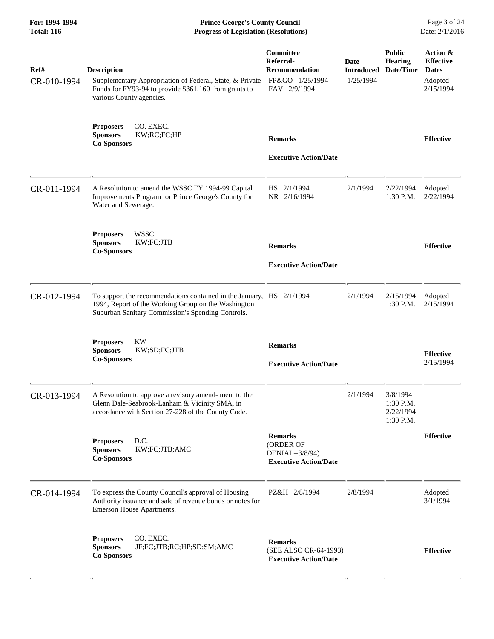**For: 1994-1994 Prince George's County Council** Page 3 of 24<br> **Progress of Legislation (Resolutions)** Date: 2/1/2016 **Total: 116 Progress of Legislation (Resolutions)** 

| Ref#<br>CR-010-1994 | <b>Description</b><br>Supplementary Appropriation of Federal, State, & Private<br>Funds for FY93-94 to provide \$361,160 from grants to<br>various County agencies.              | Committee<br>Referral-<br><b>Recommendation</b><br>FP&GO 1/25/1994<br>FAV 2/9/1994 | <b>Date</b><br><b>Introduced</b><br>1/25/1994 | <b>Public</b><br><b>Hearing</b><br>Date/Time        | Action &<br><b>Effective</b><br><b>Dates</b><br>Adopted<br>2/15/1994 |
|---------------------|----------------------------------------------------------------------------------------------------------------------------------------------------------------------------------|------------------------------------------------------------------------------------|-----------------------------------------------|-----------------------------------------------------|----------------------------------------------------------------------|
|                     | CO. EXEC.<br><b>Proposers</b><br><b>Sponsors</b><br>KW;RC;FC;HP<br><b>Co-Sponsors</b>                                                                                            | <b>Remarks</b><br><b>Executive Action/Date</b>                                     |                                               |                                                     | <b>Effective</b>                                                     |
| CR-011-1994         | A Resolution to amend the WSSC FY 1994-99 Capital<br>Improvements Program for Prince George's County for<br>Water and Sewerage.                                                  | HS 2/1/1994<br>NR 2/16/1994                                                        | 2/1/1994                                      | 2/22/1994<br>1:30 P.M.                              | Adopted<br>2/22/1994                                                 |
|                     | <b>WSSC</b><br><b>Proposers</b><br><b>Sponsors</b><br>KW;FC;JTB<br><b>Co-Sponsors</b>                                                                                            | <b>Remarks</b><br><b>Executive Action/Date</b>                                     |                                               |                                                     | <b>Effective</b>                                                     |
| CR-012-1994         | To support the recommendations contained in the January, HS 2/1/1994<br>1994, Report of the Working Group on the Washington<br>Suburban Sanitary Commission's Spending Controls. |                                                                                    | 2/1/1994                                      | 2/15/1994<br>1:30 P.M.                              | Adopted<br>2/15/1994                                                 |
|                     | <b>KW</b><br><b>Proposers</b><br><b>Sponsors</b><br>KW;SD;FC;JTB<br><b>Co-Sponsors</b>                                                                                           | <b>Remarks</b><br><b>Executive Action/Date</b>                                     |                                               |                                                     | <b>Effective</b><br>2/15/1994                                        |
| CR-013-1994         | A Resolution to approve a revisory amend-ment to the<br>Glenn Dale-Seabrook-Lanham & Vicinity SMA, in<br>accordance with Section 27-228 of the County Code.                      |                                                                                    | 2/1/1994                                      | 3/8/1994<br>$1:30$ P.M.<br>2/22/1994<br>$1:30$ P.M. |                                                                      |
|                     | D.C.<br><b>Proposers</b><br><b>Sponsors</b><br>KW;FC;JTB;AMC<br><b>Co-Sponsors</b>                                                                                               | <b>Remarks</b><br>(ORDER OF<br>DENIAL--3/8/94)<br><b>Executive Action/Date</b>     |                                               |                                                     | <b>Effective</b>                                                     |
| CR-014-1994         | To express the County Council's approval of Housing<br>Authority issuance and sale of revenue bonds or notes for<br>Emerson House Apartments.                                    | PZ&H 2/8/1994                                                                      | 2/8/1994                                      |                                                     | Adopted<br>3/1/1994                                                  |
|                     | CO. EXEC.<br><b>Proposers</b><br>JF;FC;JTB;RC;HP;SD;SM;AMC<br><b>Sponsors</b><br><b>Co-Sponsors</b>                                                                              | <b>Remarks</b><br>(SEE ALSO CR-64-1993)<br><b>Executive Action/Date</b>            |                                               |                                                     | <b>Effective</b>                                                     |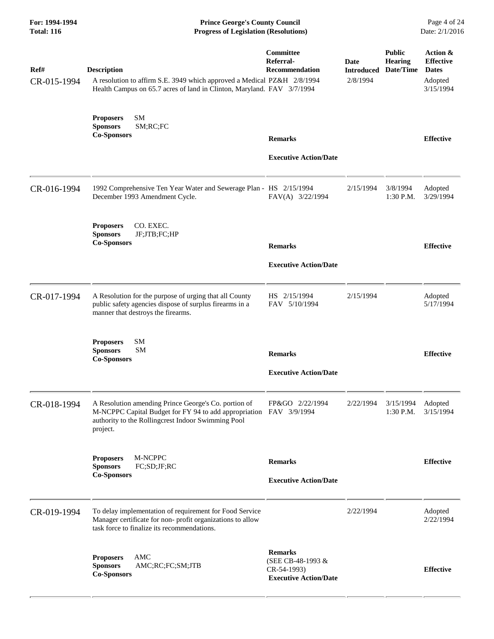| For: 1994-1994<br><b>Total: 116</b> | <b>Prince George's County Council</b><br><b>Progress of Legislation (Resolutions)</b>                                                                                                        |                                                                                    |                  |                                                         |                                                                      |
|-------------------------------------|----------------------------------------------------------------------------------------------------------------------------------------------------------------------------------------------|------------------------------------------------------------------------------------|------------------|---------------------------------------------------------|----------------------------------------------------------------------|
| Ref#<br>CR-015-1994                 | <b>Description</b><br>A resolution to affirm S.E. 3949 which approved a Medical PZ&H 2/8/1994<br>Health Campus on 65.7 acres of land in Clinton, Maryland. FAV 3/7/1994                      | Committee<br>Referral-<br>Recommendation                                           | Date<br>2/8/1994 | <b>Public</b><br>Hearing<br><b>Introduced Date/Time</b> | Action &<br><b>Effective</b><br><b>Dates</b><br>Adopted<br>3/15/1994 |
|                                     | SM<br><b>Proposers</b><br><b>Sponsors</b><br>SM;RC;FC<br><b>Co-Sponsors</b>                                                                                                                  | <b>Remarks</b><br><b>Executive Action/Date</b>                                     |                  |                                                         | <b>Effective</b>                                                     |
| CR-016-1994                         | 1992 Comprehensive Ten Year Water and Sewerage Plan - HS 2/15/1994<br>December 1993 Amendment Cycle.                                                                                         | FAV(A) 3/22/1994                                                                   | 2/15/1994        | 3/8/1994<br>1:30 P.M.                                   | Adopted<br>3/29/1994                                                 |
|                                     | CO. EXEC.<br><b>Proposers</b><br><b>Sponsors</b><br>JF;JTB;FC;HP<br><b>Co-Sponsors</b>                                                                                                       | <b>Remarks</b><br><b>Executive Action/Date</b>                                     |                  |                                                         | <b>Effective</b>                                                     |
| CR-017-1994                         | A Resolution for the purpose of urging that all County<br>public safety agencies dispose of surplus firearms in a<br>manner that destroys the firearms.                                      | HS 2/15/1994<br>FAV 5/10/1994                                                      | 2/15/1994        |                                                         | Adopted<br>5/17/1994                                                 |
|                                     | SM<br><b>Proposers</b><br><b>SM</b><br><b>Sponsors</b><br><b>Co-Sponsors</b>                                                                                                                 | <b>Remarks</b><br><b>Executive Action/Date</b>                                     |                  |                                                         | <b>Effective</b>                                                     |
| CR-018-1994                         | A Resolution amending Prince George's Co. portion of<br>M-NCPPC Capital Budget for FY 94 to add appropriation FAV 3/9/1994<br>authority to the Rollingcrest Indoor Swimming Pool<br>project. | FP&GO 2/22/1994                                                                    | 2/22/1994        | 3/15/1994<br>1:30 P.M.                                  | Adopted<br>3/15/1994                                                 |
|                                     | M-NCPPC<br><b>Proposers</b><br>FC;SD;JF;RC<br><b>Sponsors</b><br><b>Co-Sponsors</b>                                                                                                          | <b>Remarks</b><br><b>Executive Action/Date</b>                                     |                  |                                                         | <b>Effective</b>                                                     |
| CR-019-1994                         | To delay implementation of requirement for Food Service<br>Manager certificate for non- profit organizations to allow<br>task force to finalize its recommendations.                         |                                                                                    | 2/22/1994        |                                                         | Adopted<br>2/22/1994                                                 |
|                                     | AMC<br><b>Proposers</b><br>AMC;RC;FC;SM;JTB<br><b>Sponsors</b><br><b>Co-Sponsors</b>                                                                                                         | <b>Remarks</b><br>(SEE CB-48-1993 &<br>CR-54-1993)<br><b>Executive Action/Date</b> |                  |                                                         | <b>Effective</b>                                                     |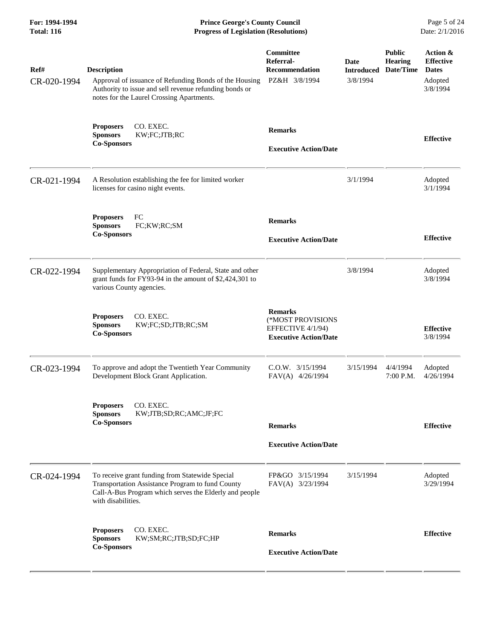| For: 1994-1994<br><b>Total: 116</b> | <b>Prince George's County Council</b><br><b>Progress of Legislation (Resolutions)</b>                                                                                               |                                                                                          |                                       |                                              | Page 5 of 24<br>Date: 2/1/2016                                      |  |
|-------------------------------------|-------------------------------------------------------------------------------------------------------------------------------------------------------------------------------------|------------------------------------------------------------------------------------------|---------------------------------------|----------------------------------------------|---------------------------------------------------------------------|--|
| Ref#<br>CR-020-1994                 | <b>Description</b><br>Approval of issuance of Refunding Bonds of the Housing<br>Authority to issue and sell revenue refunding bonds or<br>notes for the Laurel Crossing Apartments. | Committee<br>Referral-<br><b>Recommendation</b><br>PZ&H 3/8/1994                         | Date<br><b>Introduced</b><br>3/8/1994 | <b>Public</b><br><b>Hearing</b><br>Date/Time | Action &<br><b>Effective</b><br><b>Dates</b><br>Adopted<br>3/8/1994 |  |
|                                     | CO. EXEC.<br><b>Proposers</b><br>KW;FC;JTB;RC<br><b>Sponsors</b><br><b>Co-Sponsors</b>                                                                                              | <b>Remarks</b><br><b>Executive Action/Date</b>                                           |                                       |                                              | <b>Effective</b>                                                    |  |
| CR-021-1994                         | A Resolution establishing the fee for limited worker<br>licenses for casino night events.                                                                                           |                                                                                          | 3/1/1994                              |                                              | Adopted<br>3/1/1994                                                 |  |
|                                     | FC<br><b>Proposers</b><br><b>Sponsors</b><br>FC;KW;RC;SM<br><b>Co-Sponsors</b>                                                                                                      | <b>Remarks</b><br><b>Executive Action/Date</b>                                           |                                       |                                              | <b>Effective</b>                                                    |  |
| CR-022-1994                         | Supplementary Appropriation of Federal, State and other<br>grant funds for FY93-94 in the amount of \$2,424,301 to<br>various County agencies.                                      |                                                                                          | 3/8/1994                              |                                              | Adopted<br>3/8/1994                                                 |  |
|                                     | CO. EXEC.<br><b>Proposers</b><br><b>Sponsors</b><br>KW;FC;SD;JTB;RC;SM<br><b>Co-Sponsors</b>                                                                                        | <b>Remarks</b><br>(*MOST PROVISIONS<br>EFFECTIVE 4/1/94)<br><b>Executive Action/Date</b> |                                       |                                              | <b>Effective</b><br>3/8/1994                                        |  |
| CR-023-1994                         | To approve and adopt the Twentieth Year Community<br>Development Block Grant Application.                                                                                           | $C.0.W.$ $3/15/1994$<br>FAV(A) 4/26/1994                                                 | 3/15/1994                             | 4/4/1994<br>7:00 P.M. 4/26/1994              | Adopted                                                             |  |
|                                     | CO. EXEC.<br><b>Proposers</b><br>KW;JTB;SD;RC;AMC;JF;FC<br><b>Sponsors</b><br><b>Co-Sponsors</b>                                                                                    | <b>Remarks</b><br><b>Executive Action/Date</b>                                           |                                       |                                              | <b>Effective</b>                                                    |  |
| CR-024-1994                         | To receive grant funding from Statewide Special<br>Transportation Assistance Program to fund County<br>Call-A-Bus Program which serves the Elderly and people<br>with disabilities. | FP&GO 3/15/1994<br>FAV(A) 3/23/1994                                                      | 3/15/1994                             |                                              | Adopted<br>3/29/1994                                                |  |
|                                     | CO. EXEC.<br><b>Proposers</b><br><b>Sponsors</b><br>KW;SM;RC;JTB;SD;FC;HP<br><b>Co-Sponsors</b>                                                                                     | <b>Remarks</b><br><b>Executive Action/Date</b>                                           |                                       |                                              | <b>Effective</b>                                                    |  |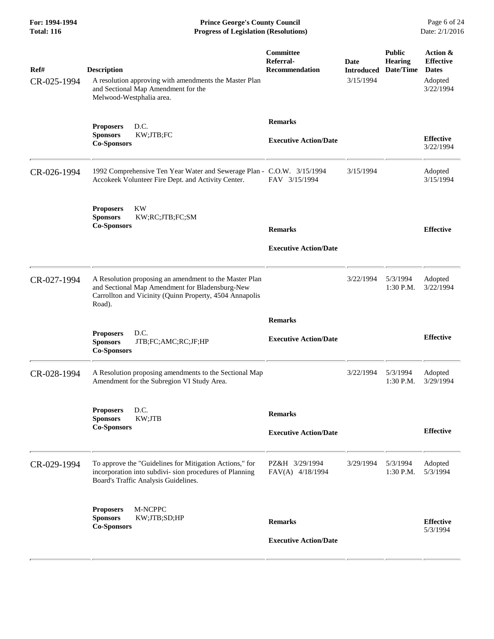**For: 1994-1994 Prince George's County Council** Page 6 of 24<br> **Progress of Legislation (Resolutions)** Date: 2/1/2016 **Total: 116 Progress of Legislation (Resolutions)** 

| Ref#<br>CR-025-1994 | <b>Description</b><br>A resolution approving with amendments the Master Plan<br>and Sectional Map Amendment for the<br>Melwood-Westphalia area.                                | Committee<br>Referral-<br><b>Recommendation</b> | Date<br><b>Introduced</b><br>3/15/1994 | <b>Public</b><br><b>Hearing</b><br>Date/Time | Action &<br><b>Effective</b><br><b>Dates</b><br>Adopted<br>3/22/1994 |
|---------------------|--------------------------------------------------------------------------------------------------------------------------------------------------------------------------------|-------------------------------------------------|----------------------------------------|----------------------------------------------|----------------------------------------------------------------------|
|                     | D.C.<br><b>Proposers</b><br>KW;JTB;FC<br><b>Sponsors</b><br><b>Co-Sponsors</b>                                                                                                 | <b>Remarks</b><br><b>Executive Action/Date</b>  |                                        |                                              | <b>Effective</b><br>3/22/1994                                        |
| CR-026-1994         | 1992 Comprehensive Ten Year Water and Sewerage Plan - C.O.W. 3/15/1994<br>Accokeek Volunteer Fire Dept. and Activity Center.                                                   | FAV 3/15/1994                                   | 3/15/1994                              |                                              | Adopted<br>3/15/1994                                                 |
|                     | <b>KW</b><br><b>Proposers</b><br>KW;RC;JTB;FC;SM<br><b>Sponsors</b><br><b>Co-Sponsors</b>                                                                                      | <b>Remarks</b><br><b>Executive Action/Date</b>  |                                        |                                              | <b>Effective</b>                                                     |
| CR-027-1994         | A Resolution proposing an amendment to the Master Plan<br>and Sectional Map Amendment for Bladensburg-New<br>Carrollton and Vicinity (Quinn Property, 4504 Annapolis<br>Road). |                                                 | 3/22/1994                              | 5/3/1994<br>1:30 P.M.                        | Adopted<br>3/22/1994                                                 |
|                     | D.C.<br><b>Proposers</b><br><b>Sponsors</b><br>JTB;FC;AMC;RC;JF;HP<br><b>Co-Sponsors</b>                                                                                       | <b>Remarks</b><br><b>Executive Action/Date</b>  |                                        |                                              | <b>Effective</b>                                                     |
| CR-028-1994         | A Resolution proposing amendments to the Sectional Map<br>Amendment for the Subregion VI Study Area.                                                                           |                                                 | 3/22/1994                              | 5/3/1994<br>$1:30$ P.M.                      | Adopted<br>3/29/1994                                                 |
|                     | <b>Proposers</b><br>D.C.<br>KW;JTB<br><b>Sponsors</b><br><b>Co-Sponsors</b>                                                                                                    | <b>Remarks</b><br><b>Executive Action/Date</b>  |                                        |                                              | <b>Effective</b>                                                     |
| CR-029-1994         | To approve the "Guidelines for Mitigation Actions," for<br>incorporation into subdivi- sion procedures of Planning<br>Board's Traffic Analysis Guidelines.                     | PZ&H 3/29/1994<br>FAV(A) 4/18/1994              | 3/29/1994                              | 5/3/1994<br>1:30 P.M.                        | Adopted<br>5/3/1994                                                  |
|                     | M-NCPPC<br><b>Proposers</b><br>KW;JTB;SD;HP<br><b>Sponsors</b><br><b>Co-Sponsors</b>                                                                                           | <b>Remarks</b><br><b>Executive Action/Date</b>  |                                        |                                              | <b>Effective</b><br>5/3/1994                                         |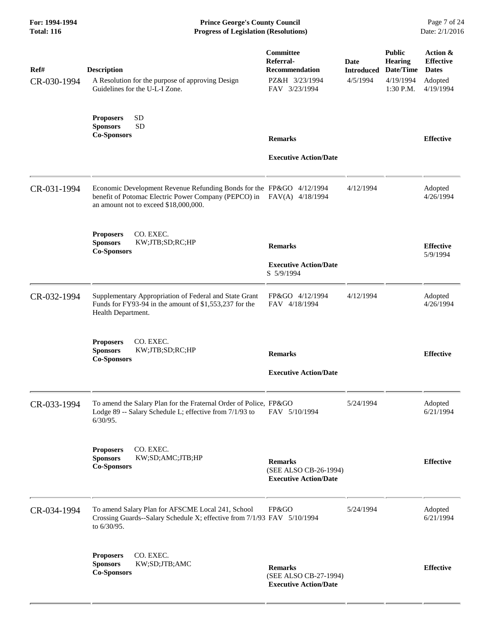**For: 1994-1994 Prince George's County Council** Page 7 of 24<br> **Progress of Legislation (Resolutions)** Date: 2/1/2016 **Total: 116 Progress of Legislation (Resolutions)** 

| Ref#        | <b>Description</b>                                                                                                                                                                     | Committee<br>Referral-<br><b>Recommendation</b>                         | <b>Date</b><br><b>Introduced</b> | <b>Public</b><br><b>Hearing</b><br>Date/Time | Action &<br><b>Effective</b><br><b>Dates</b> |
|-------------|----------------------------------------------------------------------------------------------------------------------------------------------------------------------------------------|-------------------------------------------------------------------------|----------------------------------|----------------------------------------------|----------------------------------------------|
| CR-030-1994 | A Resolution for the purpose of approving Design<br>Guidelines for the U-L-I Zone.                                                                                                     | PZ&H 3/23/1994<br>FAV 3/23/1994                                         | 4/5/1994                         | 4/19/1994<br>1:30 P.M.                       | Adopted<br>4/19/1994                         |
|             | <b>SD</b><br><b>Proposers</b><br><b>SD</b><br><b>Sponsors</b><br><b>Co-Sponsors</b>                                                                                                    | <b>Remarks</b><br><b>Executive Action/Date</b>                          |                                  |                                              | <b>Effective</b>                             |
| CR-031-1994 | Economic Development Revenue Refunding Bonds for the FP&GO 4/12/1994<br>benefit of Potomac Electric Power Company (PEPCO) in FAV(A) 4/18/1994<br>an amount not to exceed \$18,000,000. |                                                                         | 4/12/1994                        |                                              | Adopted<br>4/26/1994                         |
|             | CO. EXEC.<br><b>Proposers</b><br><b>Sponsors</b><br>KW;JTB;SD;RC;HP<br><b>Co-Sponsors</b>                                                                                              | <b>Remarks</b><br><b>Executive Action/Date</b><br>S 5/9/1994            |                                  |                                              | <b>Effective</b><br>5/9/1994                 |
| CR-032-1994 | Supplementary Appropriation of Federal and State Grant<br>Funds for FY93-94 in the amount of \$1,553,237 for the<br>Health Department.                                                 | FP&GO 4/12/1994<br>FAV 4/18/1994                                        | 4/12/1994                        |                                              | Adopted<br>4/26/1994                         |
|             | <b>Proposers</b><br>CO. EXEC.<br><b>Sponsors</b><br>KW;JTB;SD;RC;HP<br><b>Co-Sponsors</b>                                                                                              | <b>Remarks</b><br><b>Executive Action/Date</b>                          |                                  |                                              | <b>Effective</b>                             |
| CR-033-1994 | To amend the Salary Plan for the Fraternal Order of Police, FP&GO<br>Lodge 89 -- Salary Schedule L; effective from 7/1/93 to<br>$6/30/95$ .                                            | FAV 5/10/1994                                                           | 5/24/1994                        |                                              | Adopted<br>6/21/1994                         |
|             | CO. EXEC.<br><b>Proposers</b><br><b>Sponsors</b><br>KW;SD;AMC;JTB;HP<br><b>Co-Sponsors</b>                                                                                             | <b>Remarks</b><br>(SEE ALSO CB-26-1994)<br><b>Executive Action/Date</b> |                                  |                                              | <b>Effective</b>                             |
| CR-034-1994 | To amend Salary Plan for AFSCME Local 241, School<br>Crossing Guards--Salary Schedule X; effective from 7/1/93 FAV 5/10/1994<br>to 6/30/95.                                            | FP&GO                                                                   | 5/24/1994                        |                                              | Adopted<br>6/21/1994                         |
|             | CO. EXEC.<br><b>Proposers</b><br><b>Sponsors</b><br>KW;SD;JTB;AMC<br><b>Co-Sponsors</b>                                                                                                | <b>Remarks</b><br>(SEE ALSO CB-27-1994)<br><b>Executive Action/Date</b> |                                  |                                              | <b>Effective</b>                             |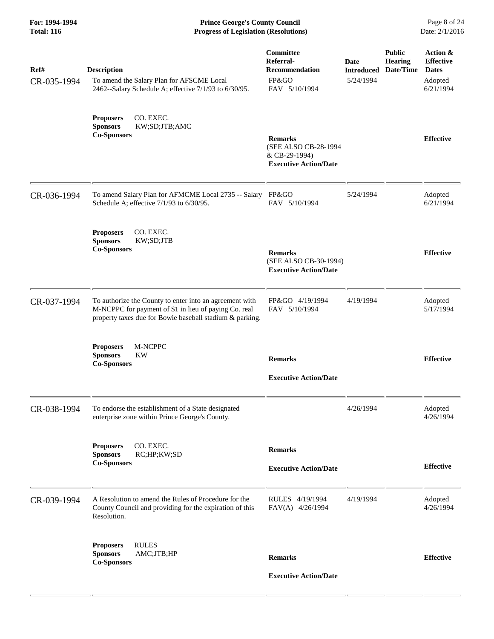**For: 1994-1994 Prince George's County Council** Page 8 of 24<br> **Prince George's County Council** Page 8 of 24<br> **Progress of Legislation (Resolutions)** Date: 2/1/2016 **Total: 116 Progress of Legislation (Resolutions)** 

| Ref#<br>CR-035-1994 | <b>Description</b><br>To amend the Salary Plan for AFSCME Local<br>2462--Salary Schedule A; effective 7/1/93 to 6/30/95.                                                     | Committee<br>Referral-<br><b>Recommendation</b><br>FP&GO<br>FAV 5/10/1994               | Date<br><b>Introduced</b><br>5/24/1994 | <b>Public</b><br><b>Hearing</b><br>Date/Time | Action &<br><b>Effective</b><br><b>Dates</b><br>Adopted<br>6/21/1994 |
|---------------------|------------------------------------------------------------------------------------------------------------------------------------------------------------------------------|-----------------------------------------------------------------------------------------|----------------------------------------|----------------------------------------------|----------------------------------------------------------------------|
|                     | CO. EXEC.<br><b>Proposers</b><br><b>Sponsors</b><br>KW;SD;JTB;AMC<br><b>Co-Sponsors</b>                                                                                      | <b>Remarks</b><br>(SEE ALSO CB-28-1994<br>& CB-29-1994)<br><b>Executive Action/Date</b> |                                        |                                              | <b>Effective</b>                                                     |
| CR-036-1994         | To amend Salary Plan for AFMCME Local 2735 -- Salary FP&GO<br>Schedule A; effective 7/1/93 to 6/30/95.                                                                       | FAV 5/10/1994                                                                           | 5/24/1994                              |                                              | Adopted<br>6/21/1994                                                 |
|                     | CO. EXEC.<br><b>Proposers</b><br><b>Sponsors</b><br>KW;SD;JTB<br><b>Co-Sponsors</b>                                                                                          | <b>Remarks</b><br>(SEE ALSO CB-30-1994)<br><b>Executive Action/Date</b>                 |                                        |                                              | <b>Effective</b>                                                     |
| CR-037-1994         | To authorize the County to enter into an agreement with<br>M-NCPPC for payment of \$1 in lieu of paying Co. real<br>property taxes due for Bowie baseball stadium & parking. | FP&GO 4/19/1994<br>FAV 5/10/1994                                                        | 4/19/1994                              |                                              | Adopted<br>5/17/1994                                                 |
|                     | <b>Proposers</b><br>M-NCPPC<br><b>KW</b><br><b>Sponsors</b><br><b>Co-Sponsors</b>                                                                                            | <b>Remarks</b><br><b>Executive Action/Date</b>                                          |                                        |                                              | <b>Effective</b>                                                     |
| CR-038-1994         | To endorse the establishment of a State designated<br>enterprise zone within Prince George's County.                                                                         |                                                                                         | 4/26/1994                              |                                              | Adopted<br>4/26/1994                                                 |
|                     | CO. EXEC.<br><b>Proposers</b><br>RC;HP;KW;SD<br><b>Sponsors</b><br><b>Co-Sponsors</b>                                                                                        | <b>Remarks</b><br><b>Executive Action/Date</b>                                          |                                        |                                              | <b>Effective</b>                                                     |
| CR-039-1994         | A Resolution to amend the Rules of Procedure for the<br>County Council and providing for the expiration of this<br>Resolution.                                               | RULES 4/19/1994<br>FAV(A) 4/26/1994                                                     | 4/19/1994                              |                                              | Adopted<br>4/26/1994                                                 |
|                     | <b>RULES</b><br><b>Proposers</b><br>AMC;JTB;HP<br><b>Sponsors</b><br><b>Co-Sponsors</b>                                                                                      | <b>Remarks</b><br><b>Executive Action/Date</b>                                          |                                        |                                              | <b>Effective</b>                                                     |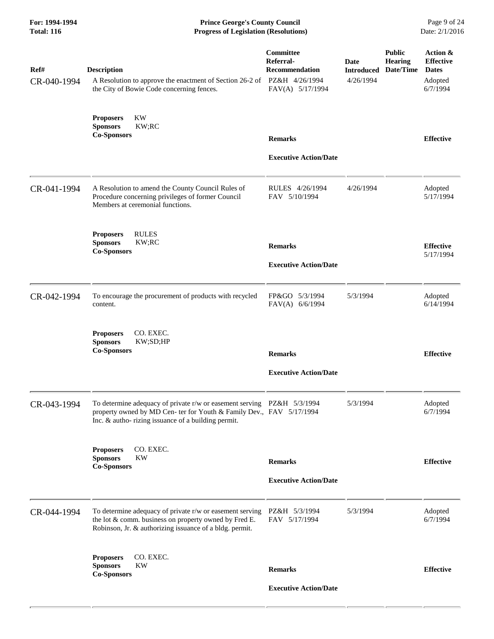| For: 1994-1994<br><b>Total: 116</b> | <b>Prince George's County Council</b><br>Date: 2/1/2016<br><b>Progress of Legislation (Resolutions)</b>                                                                                              |                                                              |                                               |                                       |                                                                     |
|-------------------------------------|------------------------------------------------------------------------------------------------------------------------------------------------------------------------------------------------------|--------------------------------------------------------------|-----------------------------------------------|---------------------------------------|---------------------------------------------------------------------|
| Ref#<br>CR-040-1994                 | <b>Description</b><br>A Resolution to approve the enactment of Section 26-2 of PZ&H 4/26/1994<br>the City of Bowie Code concerning fences.                                                           | Committee<br>Referral-<br>Recommendation<br>FAV(A) 5/17/1994 | <b>Date</b><br><b>Introduced</b><br>4/26/1994 | <b>Public</b><br>Hearing<br>Date/Time | Action &<br><b>Effective</b><br><b>Dates</b><br>Adopted<br>6/7/1994 |
|                                     | KW<br><b>Proposers</b><br><b>Sponsors</b><br>KW;RC<br><b>Co-Sponsors</b>                                                                                                                             | <b>Remarks</b>                                               |                                               |                                       | <b>Effective</b>                                                    |
|                                     |                                                                                                                                                                                                      | <b>Executive Action/Date</b>                                 |                                               |                                       |                                                                     |
| CR-041-1994                         | A Resolution to amend the County Council Rules of<br>Procedure concerning privileges of former Council<br>Members at ceremonial functions.                                                           | RULES 4/26/1994<br>FAV 5/10/1994                             | 4/26/1994                                     |                                       | Adopted<br>5/17/1994                                                |
|                                     | <b>RULES</b><br><b>Proposers</b><br><b>Sponsors</b><br>KW;RC<br><b>Co-Sponsors</b>                                                                                                                   | <b>Remarks</b>                                               |                                               |                                       | <b>Effective</b><br>5/17/1994                                       |
|                                     |                                                                                                                                                                                                      | <b>Executive Action/Date</b>                                 |                                               |                                       |                                                                     |
| CR-042-1994                         | To encourage the procurement of products with recycled<br>content.                                                                                                                                   | FP&GO 5/3/1994<br>FAV(A) 6/6/1994                            | 5/3/1994                                      |                                       | Adopted<br>6/14/1994                                                |
|                                     | CO. EXEC.<br><b>Proposers</b><br><b>Sponsors</b><br>KW;SD;HP<br><b>Co-Sponsors</b>                                                                                                                   | <b>Remarks</b>                                               |                                               |                                       | <b>Effective</b>                                                    |
|                                     |                                                                                                                                                                                                      | <b>Executive Action/Date</b>                                 |                                               |                                       |                                                                     |
| CR-043-1994                         | To determine adequacy of private r/w or easement serving PZ&H 5/3/1994<br>property owned by MD Cen- ter for Youth & Family Dev., FAV 5/17/1994<br>Inc. & autho-rizing issuance of a building permit. |                                                              | 5/3/1994                                      |                                       | Adopted<br>6/7/1994                                                 |
|                                     | CO. EXEC.<br><b>Proposers</b><br><b>Sponsors</b><br><b>KW</b>                                                                                                                                        |                                                              |                                               |                                       |                                                                     |
|                                     | <b>Co-Sponsors</b>                                                                                                                                                                                   | <b>Remarks</b>                                               |                                               |                                       | <b>Effective</b>                                                    |
|                                     |                                                                                                                                                                                                      | <b>Executive Action/Date</b>                                 |                                               |                                       |                                                                     |
| CR-044-1994                         | To determine adequacy of private r/w or easement serving<br>the lot & comm. business on property owned by Fred E.<br>Robinson, Jr. & authorizing issuance of a bldg. permit.                         | PZ&H 5/3/1994<br>FAV 5/17/1994                               | 5/3/1994                                      |                                       | Adopted<br>6/7/1994                                                 |
|                                     | <b>Proposers</b><br>CO. EXEC.<br>KW<br><b>Sponsors</b>                                                                                                                                               | <b>Remarks</b>                                               |                                               |                                       | <b>Effective</b>                                                    |
|                                     | <b>Co-Sponsors</b>                                                                                                                                                                                   | <b>Executive Action/Date</b>                                 |                                               |                                       |                                                                     |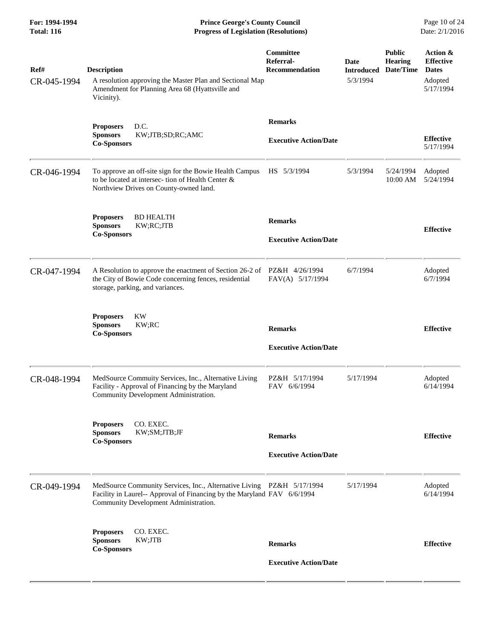| For: 1994-1994<br><b>Total: 116</b> | <b>Prince George's County Council</b><br>Date: 2/1/2016<br><b>Progress of Legislation (Resolutions)</b>                                                                                   |                                                 |                                              |                                              |                                                                      |
|-------------------------------------|-------------------------------------------------------------------------------------------------------------------------------------------------------------------------------------------|-------------------------------------------------|----------------------------------------------|----------------------------------------------|----------------------------------------------------------------------|
| Ref#<br>CR-045-1994                 | <b>Description</b><br>A resolution approving the Master Plan and Sectional Map<br>Amendment for Planning Area 68 (Hyattsville and<br>Vicinity).                                           | Committee<br>Referral-<br><b>Recommendation</b> | <b>Date</b><br><b>Introduced</b><br>5/3/1994 | <b>Public</b><br><b>Hearing</b><br>Date/Time | Action &<br><b>Effective</b><br><b>Dates</b><br>Adopted<br>5/17/1994 |
|                                     | D.C.<br><b>Proposers</b><br><b>Sponsors</b><br>KW;JTB;SD;RC;AMC<br><b>Co-Sponsors</b>                                                                                                     | <b>Remarks</b><br><b>Executive Action/Date</b>  |                                              |                                              | <b>Effective</b><br>5/17/1994                                        |
| CR-046-1994                         | To approve an off-site sign for the Bowie Health Campus<br>to be located at intersec-tion of Health Center &<br>Northview Drives on County-owned land.                                    | HS 5/3/1994                                     | 5/3/1994                                     | 5/24/1994<br>10:00 AM                        | Adopted<br>5/24/1994                                                 |
|                                     | <b>BD HEALTH</b><br><b>Proposers</b><br><b>Sponsors</b><br>KW;RC;JTB<br><b>Co-Sponsors</b>                                                                                                | <b>Remarks</b><br><b>Executive Action/Date</b>  |                                              |                                              | <b>Effective</b>                                                     |
| CR-047-1994                         | A Resolution to approve the enactment of Section 26-2 of<br>the City of Bowie Code concerning fences, residential<br>storage, parking, and variances.                                     | PZ&H 4/26/1994<br>FAV(A) 5/17/1994              | 6/7/1994                                     |                                              | Adopted<br>6/7/1994                                                  |
|                                     | KW<br><b>Proposers</b><br><b>Sponsors</b><br>KW;RC<br><b>Co-Sponsors</b>                                                                                                                  | <b>Remarks</b><br><b>Executive Action/Date</b>  |                                              |                                              | <b>Effective</b>                                                     |
| CR-048-1994                         | MedSource Commuity Services, Inc., Alternative Living<br>Facility - Approval of Financing by the Maryland<br>Community Development Administration.                                        | PZ&H 5/17/1994<br>FAV 6/6/1994                  | 5/17/1994                                    |                                              | Adopted<br>6/14/1994                                                 |
|                                     | CO. EXEC.<br><b>Proposers</b><br><b>Sponsors</b><br>KW;SM;JTB;JF<br><b>Co-Sponsors</b>                                                                                                    | <b>Remarks</b><br><b>Executive Action/Date</b>  |                                              |                                              | <b>Effective</b>                                                     |
| CR-049-1994                         | MedSource Community Services, Inc., Alternative Living PZ&H 5/17/1994<br>Facility in Laurel-- Approval of Financing by the Maryland FAV 6/6/1994<br>Community Development Administration. |                                                 | 5/17/1994                                    |                                              | Adopted<br>6/14/1994                                                 |
|                                     | CO. EXEC.<br><b>Proposers</b><br><b>Sponsors</b><br>KW;JTB<br><b>Co-Sponsors</b>                                                                                                          | <b>Remarks</b>                                  |                                              |                                              | <b>Effective</b>                                                     |
|                                     |                                                                                                                                                                                           | <b>Executive Action/Date</b>                    |                                              |                                              |                                                                      |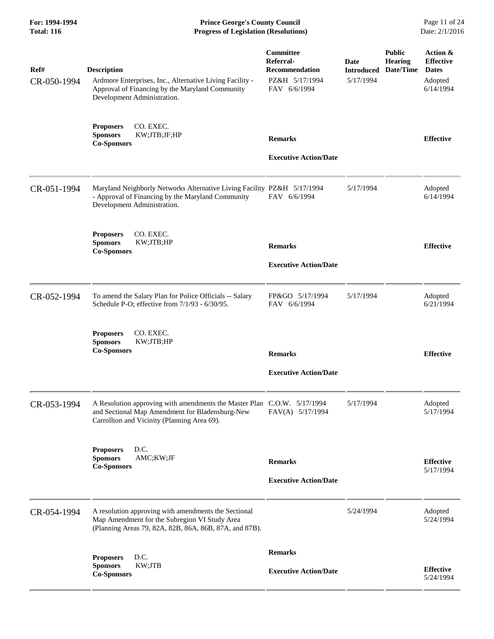**For: 1994-1994 Prince George's County Council** Page 11 of 24<br> **Progress of Legislation (Resolutions)** Date: 2/1/2016 **Total: 116 Progress of Legislation (Resolutions)** 

| Ref#<br>CR-050-1994 | <b>Description</b><br>Ardmore Enterprises, Inc., Alternative Living Facility -<br>Approval of Financing by the Maryland Community<br>Development Administration.          | <b>Committee</b><br>Referral-<br><b>Recommendation</b><br>PZ&H 5/17/1994<br>FAV 6/6/1994 | Date<br><b>Introduced</b><br>5/17/1994 | <b>Public</b><br><b>Hearing</b><br>Date/Time | Action &<br><b>Effective</b><br><b>Dates</b><br>Adopted<br>6/14/1994 |
|---------------------|---------------------------------------------------------------------------------------------------------------------------------------------------------------------------|------------------------------------------------------------------------------------------|----------------------------------------|----------------------------------------------|----------------------------------------------------------------------|
|                     | <b>Proposers</b><br>CO. EXEC.<br>KW;JTB;JF;HP<br><b>Sponsors</b><br><b>Co-Sponsors</b>                                                                                    | <b>Remarks</b><br><b>Executive Action/Date</b>                                           |                                        |                                              | <b>Effective</b>                                                     |
| CR-051-1994         | Maryland Neighborly Networks Alternative Living Facility PZ&H 5/17/1994<br>- Approval of Financing by the Maryland Community<br>Development Administration.               | FAV 6/6/1994                                                                             | 5/17/1994                              |                                              | Adopted<br>6/14/1994                                                 |
|                     | CO. EXEC.<br><b>Proposers</b><br><b>Sponsors</b><br>KW;JTB;HP<br><b>Co-Sponsors</b>                                                                                       | <b>Remarks</b><br><b>Executive Action/Date</b>                                           |                                        |                                              | <b>Effective</b>                                                     |
| CR-052-1994         | To amend the Salary Plan for Police Officials -- Salary<br>Schedule P-O; effective from 7/1/93 - 6/30/95.                                                                 | FP&GO 5/17/1994<br>FAV 6/6/1994                                                          | 5/17/1994                              |                                              | Adopted<br>6/21/1994                                                 |
|                     | CO. EXEC.<br><b>Proposers</b><br><b>Sponsors</b><br>KW;JTB;HP<br><b>Co-Sponsors</b>                                                                                       | <b>Remarks</b><br><b>Executive Action/Date</b>                                           |                                        |                                              | <b>Effective</b>                                                     |
| CR-053-1994         | A Resolution approving with amendments the Master Plan C.O.W. 5/17/1994<br>and Sectional Map Amendment for Bladensburg-New<br>Carrollton and Vicinity (Planning Area 69). | FAV(A) 5/17/1994                                                                         | 5/17/1994                              |                                              | Adopted<br>5/17/1994                                                 |
|                     | D.C.<br><b>Proposers</b><br><b>Sponsors</b><br>AMC;KW;JF<br><b>Co-Sponsors</b>                                                                                            | <b>Remarks</b><br><b>Executive Action/Date</b>                                           |                                        |                                              | <b>Effective</b><br>5/17/1994                                        |
| CR-054-1994         | A resolution approving with amendments the Sectional<br>Map Amendment for the Subregion VI Study Area<br>(Planning Areas 79, 82A, 82B, 86A, 86B, 87A, and 87B).           |                                                                                          | 5/24/1994                              |                                              | Adopted<br>5/24/1994                                                 |
|                     | D.C.<br><b>Proposers</b><br>KW;JTB<br><b>Sponsors</b><br><b>Co-Sponsors</b>                                                                                               | <b>Remarks</b><br><b>Executive Action/Date</b>                                           |                                        |                                              | <b>Effective</b><br>5/24/1994                                        |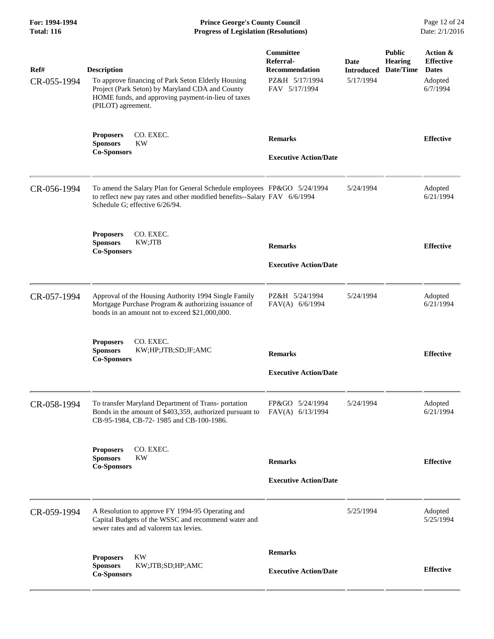**For: 1994-1994 Prince George's County Council** Page 12 of 24<br> **Progress of Legislation (Resolutions)** Date: 2/1/2016 **Total: 116 Progress of Legislation (Resolutions)** 

| Ref#        | <b>Description</b>                                                                                                                                                                     | Committee<br>Referral-<br><b>Recommendation</b> | <b>Date</b><br><b>Introduced</b> | <b>Public</b><br><b>Hearing</b><br>Date/Time | Action &<br><b>Effective</b><br><b>Dates</b> |
|-------------|----------------------------------------------------------------------------------------------------------------------------------------------------------------------------------------|-------------------------------------------------|----------------------------------|----------------------------------------------|----------------------------------------------|
| CR-055-1994 | To approve financing of Park Seton Elderly Housing<br>Project (Park Seton) by Maryland CDA and County<br>HOME funds, and approving payment-in-lieu of taxes<br>(PILOT) agreement.      | PZ&H 5/17/1994<br>FAV 5/17/1994                 | 5/17/1994                        |                                              | Adopted<br>6/7/1994                          |
|             | CO. EXEC.<br><b>Proposers</b><br><b>Sponsors</b><br><b>KW</b><br><b>Co-Sponsors</b>                                                                                                    | <b>Remarks</b><br><b>Executive Action/Date</b>  |                                  |                                              | <b>Effective</b>                             |
| CR-056-1994 | To amend the Salary Plan for General Schedule employees FP&GO 5/24/1994<br>to reflect new pay rates and other modified benefits--Salary FAV 6/6/1994<br>Schedule G; effective 6/26/94. |                                                 | 5/24/1994                        |                                              | Adopted<br>6/21/1994                         |
|             | CO. EXEC.<br><b>Proposers</b><br><b>Sponsors</b><br>KW;JTB<br><b>Co-Sponsors</b>                                                                                                       | <b>Remarks</b>                                  |                                  |                                              | <b>Effective</b>                             |
|             |                                                                                                                                                                                        | <b>Executive Action/Date</b>                    |                                  |                                              |                                              |
| CR-057-1994 | Approval of the Housing Authority 1994 Single Family<br>Mortgage Purchase Program & authorizing issuance of<br>bonds in an amount not to exceed \$21,000,000.                          | PZ&H 5/24/1994<br>FAV(A) 6/6/1994               | 5/24/1994                        |                                              | Adopted<br>6/21/1994                         |
|             | CO. EXEC.<br><b>Proposers</b><br><b>Sponsors</b><br>KW;HP;JTB;SD;JF;AMC<br><b>Co-Sponsors</b>                                                                                          | <b>Remarks</b>                                  |                                  |                                              | <b>Effective</b>                             |
|             |                                                                                                                                                                                        | <b>Executive Action/Date</b>                    |                                  |                                              |                                              |
| CR-058-1994 | To transfer Maryland Department of Trans-portation<br>Bonds in the amount of \$403,359, authorized pursuant to FAV(A) 6/13/1994<br>CB-95-1984, CB-72-1985 and CB-100-1986.             | FP&GO 5/24/1994                                 | 5/24/1994                        |                                              | Adopted<br>6/21/1994                         |
|             | CO. EXEC.<br><b>Proposers</b><br><b>Sponsors</b><br>KW<br><b>Co-Sponsors</b>                                                                                                           | <b>Remarks</b>                                  |                                  |                                              | <b>Effective</b>                             |
|             |                                                                                                                                                                                        | <b>Executive Action/Date</b>                    |                                  |                                              |                                              |
| CR-059-1994 | A Resolution to approve FY 1994-95 Operating and<br>Capital Budgets of the WSSC and recommend water and<br>sewer rates and ad valorem tax levies.                                      |                                                 | 5/25/1994                        |                                              | Adopted<br>5/25/1994                         |
|             | KW<br><b>Proposers</b>                                                                                                                                                                 | <b>Remarks</b>                                  |                                  |                                              |                                              |
|             | <b>Sponsors</b><br>KW;JTB;SD;HP;AMC<br><b>Co-Sponsors</b>                                                                                                                              | <b>Executive Action/Date</b>                    |                                  |                                              | <b>Effective</b>                             |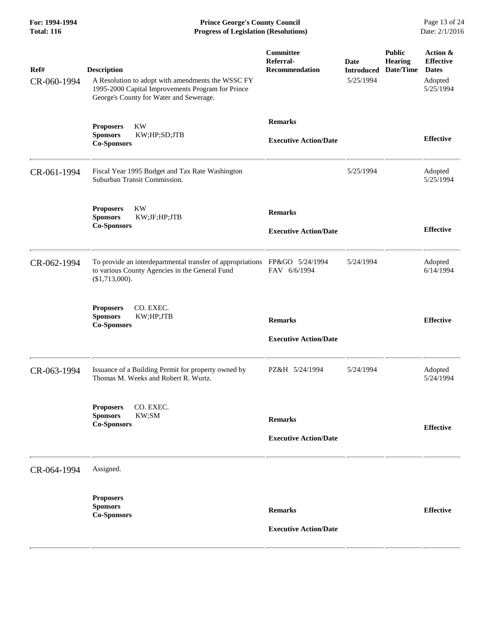**For: 1994-1994 Prince George's County Council** Page 13 of 24<br> **Progress of Legislation (Resolutions)** Date: 2/1/2016 **Total: 116 Progress of Legislation (Resolutions)** 

| Ref#<br>CR-060-1994 | <b>Description</b><br>A Resolution to adopt with amendments the WSSC FY<br>1995-2000 Capital Improvements Program for Prince<br>George's County for Water and Sewerage. | Committee<br>Referral-<br><b>Recommendation</b> | <b>Date</b><br><b>Introduced</b><br>5/25/1994 | <b>Public</b><br><b>Hearing</b><br>Date/Time | Action &<br><b>Effective</b><br><b>Dates</b><br>Adopted<br>5/25/1994 |
|---------------------|-------------------------------------------------------------------------------------------------------------------------------------------------------------------------|-------------------------------------------------|-----------------------------------------------|----------------------------------------------|----------------------------------------------------------------------|
|                     | <b>KW</b><br><b>Proposers</b><br>KW;HP;SD;JTB<br><b>Sponsors</b><br><b>Co-Sponsors</b>                                                                                  | <b>Remarks</b><br><b>Executive Action/Date</b>  |                                               |                                              | <b>Effective</b>                                                     |
| CR-061-1994         | Fiscal Year 1995 Budget and Tax Rate Washington<br>Suburban Transit Commission.                                                                                         |                                                 | 5/25/1994                                     |                                              | Adopted<br>5/25/1994                                                 |
|                     | <b>KW</b><br><b>Proposers</b><br>KW;JF;HP;JTB<br><b>Sponsors</b><br><b>Co-Sponsors</b>                                                                                  | <b>Remarks</b><br><b>Executive Action/Date</b>  |                                               |                                              | <b>Effective</b>                                                     |
| CR-062-1994         | To provide an interdepartmental transfer of appropriations<br>to various County Agencies in the General Fund<br>(\$1,713,000).                                          | FP&GO 5/24/1994<br>FAV 6/6/1994                 | 5/24/1994                                     |                                              | Adopted<br>6/14/1994                                                 |
|                     | CO. EXEC.<br><b>Proposers</b><br><b>Sponsors</b><br>KW;HP;JTB<br><b>Co-Sponsors</b>                                                                                     | <b>Remarks</b><br><b>Executive Action/Date</b>  |                                               |                                              | <b>Effective</b>                                                     |
| CR-063-1994         | Issuance of a Building Permit for property owned by<br>Thomas M. Weeks and Robert R. Wurtz.                                                                             | PZ&H 5/24/1994                                  | 5/24/1994                                     |                                              | Adopted<br>5/24/1994                                                 |
|                     | Proposers CO. EXEC.<br>KW;SM<br><b>Sponsors</b><br><b>Co-Sponsors</b>                                                                                                   | <b>Remarks</b><br><b>Executive Action/Date</b>  |                                               |                                              | <b>Effective</b>                                                     |
| CR-064-1994         | Assigned.                                                                                                                                                               |                                                 |                                               |                                              |                                                                      |
|                     | <b>Proposers</b><br><b>Sponsors</b><br><b>Co-Sponsors</b>                                                                                                               | <b>Remarks</b><br><b>Executive Action/Date</b>  |                                               |                                              | <b>Effective</b>                                                     |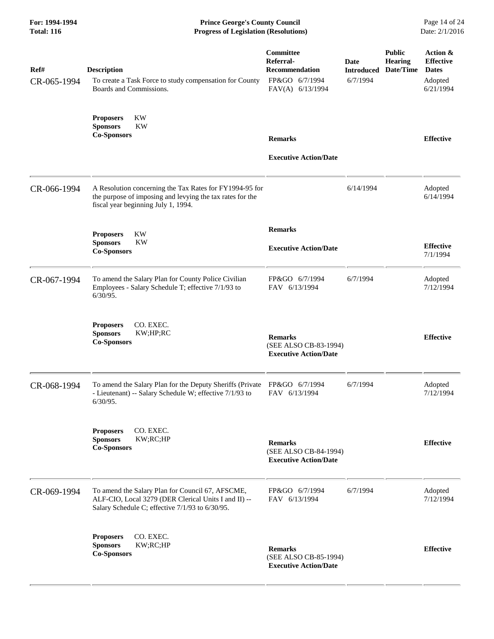**For: 1994-1994 Prince George's County Council** Page 14 of 24<br> **Progress of Legislation (Resolutions)** Date: 2/1/2016 **Total: 116 Progress of Legislation (Resolutions)** 

| Ref#<br>CR-065-1994 | <b>Description</b><br>To create a Task Force to study compensation for County<br>Boards and Commissions.                                                    | <b>Committee</b><br>Referral-<br><b>Recommendation</b><br>FP&GO 6/7/1994<br>FAV(A) 6/13/1994 | Date<br><b>Introduced</b><br>6/7/1994 | <b>Public</b><br><b>Hearing</b><br>Date/Time | Action &<br><b>Effective</b><br><b>Dates</b><br>Adopted<br>6/21/1994 |
|---------------------|-------------------------------------------------------------------------------------------------------------------------------------------------------------|----------------------------------------------------------------------------------------------|---------------------------------------|----------------------------------------------|----------------------------------------------------------------------|
|                     | KW<br><b>Proposers</b><br><b>Sponsors</b><br><b>KW</b><br><b>Co-Sponsors</b>                                                                                | <b>Remarks</b>                                                                               |                                       |                                              | <b>Effective</b>                                                     |
|                     |                                                                                                                                                             | <b>Executive Action/Date</b>                                                                 |                                       |                                              |                                                                      |
| CR-066-1994         | A Resolution concerning the Tax Rates for FY1994-95 for<br>the purpose of imposing and levying the tax rates for the<br>fiscal year beginning July 1, 1994. |                                                                                              | 6/14/1994                             |                                              | Adopted<br>6/14/1994                                                 |
|                     | <b>KW</b><br><b>Proposers</b>                                                                                                                               | <b>Remarks</b>                                                                               |                                       |                                              |                                                                      |
|                     | <b>Sponsors</b><br>KW<br><b>Co-Sponsors</b>                                                                                                                 | <b>Executive Action/Date</b>                                                                 |                                       |                                              | <b>Effective</b><br>7/1/1994                                         |
| CR-067-1994         | To amend the Salary Plan for County Police Civilian<br>Employees - Salary Schedule T; effective 7/1/93 to<br>$6/30/95$ .                                    | FP&GO 6/7/1994<br>FAV 6/13/1994                                                              | 6/7/1994                              |                                              | Adopted<br>7/12/1994                                                 |
|                     | <b>Proposers</b><br>CO. EXEC.<br>KW;HP;RC<br><b>Sponsors</b><br><b>Co-Sponsors</b>                                                                          | <b>Remarks</b><br>(SEE ALSO CB-83-1994)<br><b>Executive Action/Date</b>                      |                                       |                                              | <b>Effective</b>                                                     |
| CR-068-1994         | To amend the Salary Plan for the Deputy Sheriffs (Private FP&GO 6/7/1994<br>- Lieutenant) -- Salary Schedule W; effective 7/1/93 to<br>$6/30/95$ .          | FAV 6/13/1994                                                                                | 6/7/1994                              |                                              | Adopted<br>7/12/1994                                                 |
|                     | CO. EXEC.<br><b>Proposers</b><br><b>Sponsors</b><br>KW;RC;HP<br><b>Co-Sponsors</b>                                                                          | <b>Remarks</b><br>(SEE ALSO CB-84-1994)<br><b>Executive Action/Date</b>                      |                                       |                                              | <b>Effective</b>                                                     |
| CR-069-1994         | To amend the Salary Plan for Council 67, AFSCME,<br>ALF-CIO, Local 3279 (DER Clerical Units I and II) --<br>Salary Schedule C; effective 7/1/93 to 6/30/95. | FP&GO 6/7/1994<br>FAV 6/13/1994                                                              | 6/7/1994                              |                                              | Adopted<br>7/12/1994                                                 |
|                     | CO. EXEC.<br><b>Proposers</b><br><b>Sponsors</b><br>KW;RC;HP<br><b>Co-Sponsors</b>                                                                          | <b>Remarks</b><br>(SEE ALSO CB-85-1994)<br><b>Executive Action/Date</b>                      |                                       |                                              | <b>Effective</b>                                                     |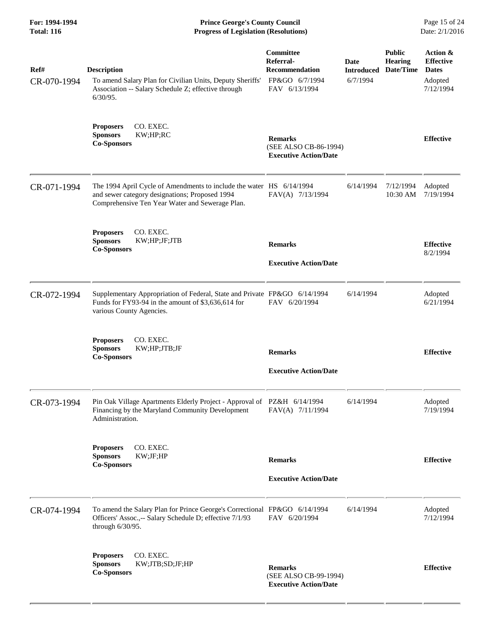| For: 1994-1994<br><b>Total: 116</b> | <b>Prince George's County Council</b><br><b>Progress of Legislation (Resolutions)</b>                                                                                     |                                                                                           |                                       |                                              | Page 15 of 24<br>Date: 2/1/2016                                      |
|-------------------------------------|---------------------------------------------------------------------------------------------------------------------------------------------------------------------------|-------------------------------------------------------------------------------------------|---------------------------------------|----------------------------------------------|----------------------------------------------------------------------|
| Ref#<br>CR-070-1994                 | <b>Description</b><br>To amend Salary Plan for Civilian Units, Deputy Sheriffs'<br>Association -- Salary Schedule Z; effective through<br>$6/30/95$ .                     | <b>Committee</b><br>Referral-<br><b>Recommendation</b><br>FP&GO 6/7/1994<br>FAV 6/13/1994 | Date<br><b>Introduced</b><br>6/7/1994 | <b>Public</b><br><b>Hearing</b><br>Date/Time | Action &<br><b>Effective</b><br><b>Dates</b><br>Adopted<br>7/12/1994 |
|                                     | CO. EXEC.<br><b>Proposers</b><br>KW;HP;RC<br><b>Sponsors</b><br><b>Co-Sponsors</b>                                                                                        | <b>Remarks</b><br>(SEE ALSO CB-86-1994)<br><b>Executive Action/Date</b>                   |                                       |                                              | <b>Effective</b>                                                     |
| CR-071-1994                         | The 1994 April Cycle of Amendments to include the water HS 6/14/1994<br>and sewer category designations; Proposed 1994<br>Comprehensive Ten Year Water and Sewerage Plan. | FAV(A) 7/13/1994                                                                          | 6/14/1994                             | 7/12/1994<br>10:30 AM                        | Adopted<br>7/19/1994                                                 |
|                                     | CO. EXEC.<br><b>Proposers</b><br><b>Sponsors</b><br>KW;HP;JF;JTB<br><b>Co-Sponsors</b>                                                                                    | <b>Remarks</b><br><b>Executive Action/Date</b>                                            |                                       |                                              | <b>Effective</b><br>8/2/1994                                         |
| CR-072-1994                         | Supplementary Appropriation of Federal, State and Private FP&GO 6/14/1994<br>Funds for FY93-94 in the amount of \$3,636,614 for<br>various County Agencies.               | FAV 6/20/1994                                                                             | 6/14/1994                             |                                              | Adopted<br>6/21/1994                                                 |
|                                     | CO. EXEC.<br><b>Proposers</b><br>KW;HP;JTB;JF<br><b>Sponsors</b><br><b>Co-Sponsors</b>                                                                                    | <b>Remarks</b><br><b>Executive Action/Date</b>                                            |                                       |                                              | <b>Effective</b>                                                     |
| CR-073-1994                         | Pin Oak Village Apartments Elderly Project - Approval of PZ&H 6/14/1994<br>Financing by the Maryland Community Development<br>Administration.                             | FAV(A) 7/11/1994                                                                          | 6/14/1994                             |                                              | Adopted<br>7/19/1994                                                 |
|                                     | CO. EXEC.<br><b>Proposers</b><br><b>Sponsors</b><br>KW;JF;HP<br><b>Co-Sponsors</b>                                                                                        | <b>Remarks</b><br><b>Executive Action/Date</b>                                            |                                       |                                              | <b>Effective</b>                                                     |
| CR-074-1994                         | To amend the Salary Plan for Prince George's Correctional FP&GO 6/14/1994<br>Officers' Assoc.,-- Salary Schedule D; effective 7/1/93<br>through $6/30/95$ .               | FAV 6/20/1994                                                                             | 6/14/1994                             |                                              | Adopted<br>7/12/1994                                                 |
|                                     | CO. EXEC.<br><b>Proposers</b><br>KW;JTB;SD;JF;HP<br><b>Sponsors</b><br><b>Co-Sponsors</b>                                                                                 | <b>Remarks</b><br>(SEE ALSO CB-99-1994)<br><b>Executive Action/Date</b>                   |                                       |                                              | <b>Effective</b>                                                     |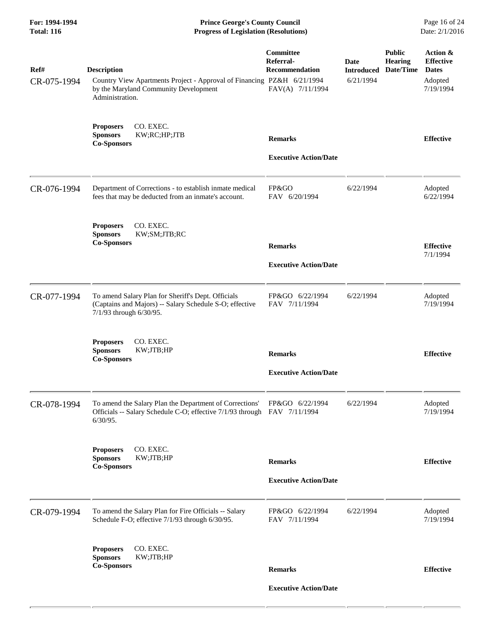| For: 1994-1994<br><b>Total: 116</b> | <b>Prince George's County Council</b><br><b>Progress of Legislation (Resolutions)</b>                                                                    |                                                                     |                                               |                                       | Page 16 of 24<br>Date: 2/1/2016                                      |
|-------------------------------------|----------------------------------------------------------------------------------------------------------------------------------------------------------|---------------------------------------------------------------------|-----------------------------------------------|---------------------------------------|----------------------------------------------------------------------|
| Ref#<br>CR-075-1994                 | <b>Description</b><br>Country View Apartments Project - Approval of Financing PZ&H 6/21/1994<br>by the Maryland Community Development<br>Administration. | Committee<br>Referral-<br><b>Recommendation</b><br>FAV(A) 7/11/1994 | <b>Date</b><br><b>Introduced</b><br>6/21/1994 | <b>Public</b><br>Hearing<br>Date/Time | Action &<br><b>Effective</b><br><b>Dates</b><br>Adopted<br>7/19/1994 |
|                                     | CO. EXEC.<br><b>Proposers</b><br>KW;RC;HP;JTB<br><b>Sponsors</b><br><b>Co-Sponsors</b>                                                                   | <b>Remarks</b><br><b>Executive Action/Date</b>                      |                                               |                                       | <b>Effective</b>                                                     |
| CR-076-1994                         | Department of Corrections - to establish inmate medical<br>fees that may be deducted from an inmate's account.                                           | FP&GO<br>FAV 6/20/1994                                              | 6/22/1994                                     |                                       | Adopted<br>6/22/1994                                                 |
|                                     | CO. EXEC.<br><b>Proposers</b><br>KW;SM;JTB;RC<br><b>Sponsors</b><br><b>Co-Sponsors</b>                                                                   | <b>Remarks</b><br><b>Executive Action/Date</b>                      |                                               |                                       | <b>Effective</b><br>7/1/1994                                         |
| CR-077-1994                         | To amend Salary Plan for Sheriff's Dept. Officials<br>(Captains and Majors) -- Salary Schedule S-O; effective<br>7/1/93 through 6/30/95.                 | FP&GO 6/22/1994<br>FAV 7/11/1994                                    | 6/22/1994                                     |                                       | Adopted<br>7/19/1994                                                 |
|                                     | CO. EXEC.<br><b>Proposers</b><br>KW;JTB;HP<br><b>Sponsors</b><br><b>Co-Sponsors</b>                                                                      | <b>Remarks</b><br><b>Executive Action/Date</b>                      |                                               |                                       | <b>Effective</b>                                                     |
| CR-078-1994                         | To amend the Salary Plan the Department of Corrections'<br>Officials -- Salary Schedule C-O; effective 7/1/93 through FAV 7/11/1994<br>$6/30/95$ .       | FP&GO 6/22/1994                                                     | 6/22/1994                                     |                                       | Adopted<br>7/19/1994                                                 |
|                                     | CO. EXEC.<br><b>Proposers</b><br><b>Sponsors</b><br>KW;JTB;HP<br><b>Co-Sponsors</b>                                                                      | <b>Remarks</b><br><b>Executive Action/Date</b>                      |                                               |                                       | <b>Effective</b>                                                     |
| CR-079-1994                         | To amend the Salary Plan for Fire Officials -- Salary<br>Schedule F-O; effective 7/1/93 through 6/30/95.                                                 | FP&GO 6/22/1994<br>FAV 7/11/1994                                    | 6/22/1994                                     |                                       | Adopted<br>7/19/1994                                                 |
|                                     | CO. EXEC.<br><b>Proposers</b><br><b>Sponsors</b><br>KW;JTB;HP<br><b>Co-Sponsors</b>                                                                      | <b>Remarks</b><br><b>Executive Action/Date</b>                      |                                               |                                       | <b>Effective</b>                                                     |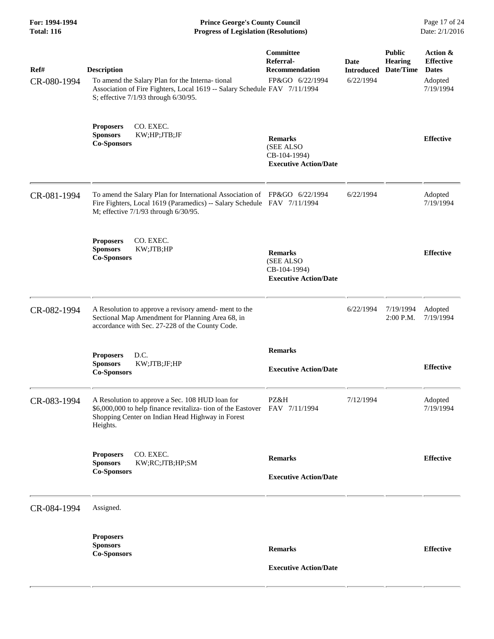**For: 1994-1994 Prince George's County Council** Page 17 of 24<br> **Progress of Legislation (Resolutions)** Date: 2/1/2016 **Total: 116 Progress of Legislation (Resolutions)** 

| Ref#<br>CR-080-1994 | <b>Description</b><br>To amend the Salary Plan for the Interna-tional<br>Association of Fire Fighters, Local 1619 -- Salary Schedule FAV 7/11/1994<br>S; effective 7/1/93 through 6/30/95.    | <b>Committee</b><br>Referral-<br><b>Recommendation</b><br>FP&GO 6/22/1994   | <b>Date</b><br><b>Introduced</b><br>6/22/1994 | <b>Public</b><br><b>Hearing</b><br>Date/Time | Action &<br><b>Effective</b><br><b>Dates</b><br>Adopted<br>7/19/1994 |
|---------------------|-----------------------------------------------------------------------------------------------------------------------------------------------------------------------------------------------|-----------------------------------------------------------------------------|-----------------------------------------------|----------------------------------------------|----------------------------------------------------------------------|
|                     | CO. EXEC.<br><b>Proposers</b><br>KW;HP;JTB;JF<br><b>Sponsors</b><br><b>Co-Sponsors</b>                                                                                                        | <b>Remarks</b><br>(SEE ALSO<br>CB-104-1994)<br><b>Executive Action/Date</b> |                                               |                                              | <b>Effective</b>                                                     |
| CR-081-1994         | To amend the Salary Plan for International Association of FP&GO 6/22/1994<br>Fire Fighters, Local 1619 (Paramedics) -- Salary Schedule FAV 7/11/1994<br>M; effective 7/1/93 through 6/30/95.  |                                                                             | 6/22/1994                                     |                                              | Adopted<br>7/19/1994                                                 |
|                     | CO. EXEC.<br><b>Proposers</b><br><b>Sponsors</b><br>KW;JTB;HP<br><b>Co-Sponsors</b>                                                                                                           | <b>Remarks</b><br>(SEE ALSO<br>CB-104-1994)<br><b>Executive Action/Date</b> |                                               |                                              | <b>Effective</b>                                                     |
| CR-082-1994         | A Resolution to approve a revisory amend- ment to the<br>Sectional Map Amendment for Planning Area 68, in<br>accordance with Sec. 27-228 of the County Code.                                  |                                                                             | 6/22/1994                                     | 7/19/1994<br>2:00 P.M.                       | Adopted<br>7/19/1994                                                 |
|                     | D.C.<br><b>Proposers</b><br><b>Sponsors</b><br>KW;JTB;JF;HP<br><b>Co-Sponsors</b>                                                                                                             | <b>Remarks</b><br><b>Executive Action/Date</b>                              |                                               |                                              | <b>Effective</b>                                                     |
| CR-083-1994         | A Resolution to approve a Sec. 108 HUD loan for<br>\$6,000,000 to help finance revitaliza- tion of the Eastover FAV 7/11/1994<br>Shopping Center on Indian Head Highway in Forest<br>Heights. | PZ&H                                                                        | 7/12/1994                                     |                                              | Adopted<br>7/19/1994                                                 |
|                     | CO. EXEC.<br><b>Proposers</b><br><b>Sponsors</b><br>KW;RC;JTB;HP;SM<br><b>Co-Sponsors</b>                                                                                                     | <b>Remarks</b><br><b>Executive Action/Date</b>                              |                                               |                                              | <b>Effective</b>                                                     |
| CR-084-1994         | Assigned.                                                                                                                                                                                     |                                                                             |                                               |                                              |                                                                      |
|                     | <b>Proposers</b><br><b>Sponsors</b><br><b>Co-Sponsors</b>                                                                                                                                     | <b>Remarks</b><br><b>Executive Action/Date</b>                              |                                               |                                              | <b>Effective</b>                                                     |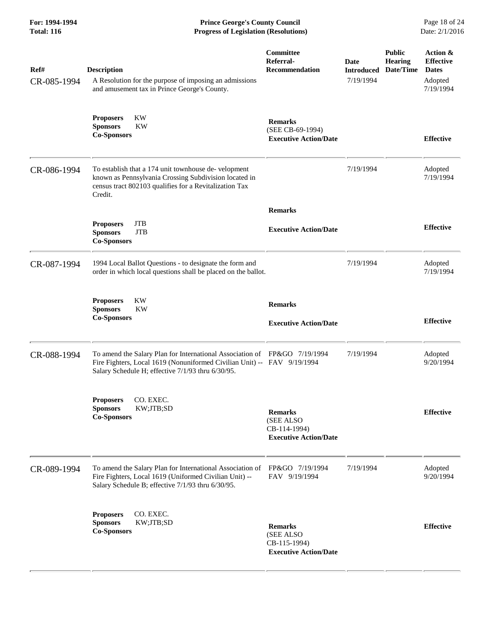**For: 1994-1994 Prince George's County Council** Page 18 of 24<br> **Progress of Legislation (Resolutions)** Date: 2/1/2016 **Total: 116 Progress of Legislation (Resolutions)** 

| Ref#<br>CR-085-1994 | <b>Description</b><br>A Resolution for the purpose of imposing an admissions<br>and amusement tax in Prince George's County.                                                                              | Committee<br>Referral-<br><b>Recommendation</b>                             | <b>Date</b><br><b>Introduced</b><br>7/19/1994 | <b>Public</b><br><b>Hearing</b><br>Date/Time | Action &<br><b>Effective</b><br><b>Dates</b><br>Adopted<br>7/19/1994 |
|---------------------|-----------------------------------------------------------------------------------------------------------------------------------------------------------------------------------------------------------|-----------------------------------------------------------------------------|-----------------------------------------------|----------------------------------------------|----------------------------------------------------------------------|
|                     | KW<br><b>Proposers</b><br><b>Sponsors</b><br><b>KW</b><br><b>Co-Sponsors</b>                                                                                                                              | <b>Remarks</b><br>(SEE CB-69-1994)<br><b>Executive Action/Date</b>          |                                               |                                              | <b>Effective</b>                                                     |
| CR-086-1994         | To establish that a 174 unit townhouse de-velopment<br>known as Pennsylvania Crossing Subdivision located in<br>census tract 802103 qualifies for a Revitalization Tax<br>Credit.                         |                                                                             | 7/19/1994                                     |                                              | Adopted<br>7/19/1994                                                 |
|                     |                                                                                                                                                                                                           | <b>Remarks</b>                                                              |                                               |                                              |                                                                      |
|                     | <b>JTB</b><br><b>Proposers</b><br><b>JTB</b><br><b>Sponsors</b><br><b>Co-Sponsors</b>                                                                                                                     | <b>Executive Action/Date</b>                                                |                                               |                                              | <b>Effective</b>                                                     |
| CR-087-1994         | 1994 Local Ballot Questions - to designate the form and<br>order in which local questions shall be placed on the ballot.                                                                                  |                                                                             | 7/19/1994                                     |                                              | Adopted<br>7/19/1994                                                 |
|                     | <b>KW</b><br><b>Proposers</b><br><b>Sponsors</b><br><b>KW</b><br><b>Co-Sponsors</b>                                                                                                                       | <b>Remarks</b><br><b>Executive Action/Date</b>                              |                                               |                                              | <b>Effective</b>                                                     |
|                     |                                                                                                                                                                                                           |                                                                             |                                               |                                              |                                                                      |
| CR-088-1994         | To amend the Salary Plan for International Association of FP&GO 7/19/1994<br>Fire Fighters, Local 1619 (Nonuniformed Civilian Unit) -- FAV 9/19/1994<br>Salary Schedule H; effective 7/1/93 thru 6/30/95. |                                                                             | 7/19/1994                                     |                                              | Adopted<br>9/20/1994                                                 |
|                     | <b>Proposers</b><br>CO. EXEC.<br>KW;JTB;SD<br><b>Sponsors</b><br><b>Co-Sponsors</b>                                                                                                                       | <b>Remarks</b><br>(SEE ALSO<br>CB-114-1994)<br><b>Executive Action/Date</b> |                                               |                                              | <b>Effective</b>                                                     |
| CR-089-1994         | To amend the Salary Plan for International Association of<br>Fire Fighters, Local 1619 (Uniformed Civilian Unit) --<br>Salary Schedule B; effective 7/1/93 thru 6/30/95.                                  | FP&GO 7/19/1994<br>FAV 9/19/1994                                            | 7/19/1994                                     |                                              | Adopted<br>9/20/1994                                                 |
|                     | CO. EXEC.<br><b>Proposers</b><br>KW;JTB;SD<br><b>Sponsors</b><br><b>Co-Sponsors</b>                                                                                                                       | <b>Remarks</b><br>(SEE ALSO<br>CB-115-1994)<br><b>Executive Action/Date</b> |                                               |                                              | <b>Effective</b>                                                     |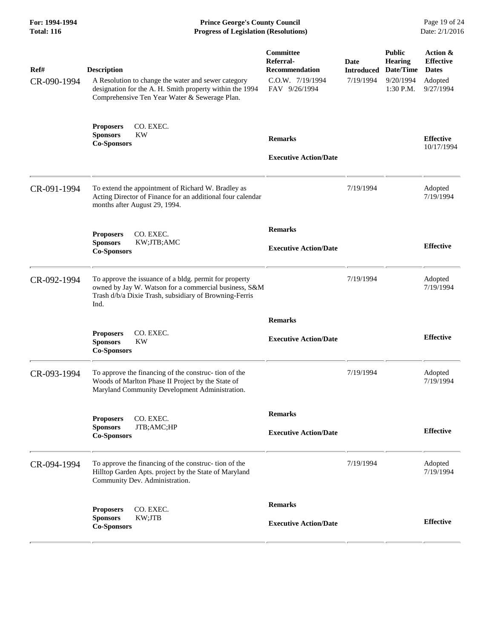**For: 1994-1994 Prince George's County Council** Page 19 of 24<br> **Progress of Legislation (Resolutions)** Date: 2/1/2016 **Total: 116 Progress of Legislation (Resolutions)** 

| Ref#<br>CR-090-1994 | <b>Description</b><br>A Resolution to change the water and sewer category<br>designation for the A. H. Smith property within the 1994<br>Comprehensive Ten Year Water & Sewerage Plan. | Committee<br>Referral-<br><b>Recommendation</b><br>C.O.W. 7/19/1994<br>FAV 9/26/1994 | Date<br><b>Introduced</b><br>7/19/1994 | <b>Public</b><br><b>Hearing</b><br>Date/Time<br>9/20/1994<br>$1:30$ P.M. | Action &<br><b>Effective</b><br><b>Dates</b><br>Adopted<br>9/27/1994 |
|---------------------|----------------------------------------------------------------------------------------------------------------------------------------------------------------------------------------|--------------------------------------------------------------------------------------|----------------------------------------|--------------------------------------------------------------------------|----------------------------------------------------------------------|
|                     | CO. EXEC.<br><b>Proposers</b><br><b>KW</b><br><b>Sponsors</b><br><b>Co-Sponsors</b>                                                                                                    | <b>Remarks</b><br><b>Executive Action/Date</b>                                       |                                        |                                                                          | <b>Effective</b><br>10/17/1994                                       |
| CR-091-1994         | To extend the appointment of Richard W. Bradley as<br>Acting Director of Finance for an additional four calendar<br>months after August 29, 1994.                                      |                                                                                      | 7/19/1994                              |                                                                          | Adopted<br>7/19/1994                                                 |
|                     | CO. EXEC.<br><b>Proposers</b><br><b>Sponsors</b><br>KW;JTB;AMC<br><b>Co-Sponsors</b>                                                                                                   | <b>Remarks</b><br><b>Executive Action/Date</b>                                       |                                        |                                                                          | <b>Effective</b>                                                     |
| CR-092-1994         | To approve the issuance of a bldg. permit for property<br>owned by Jay W. Watson for a commercial business, S&M<br>Trash d/b/a Dixie Trash, subsidiary of Browning-Ferris<br>Ind.      |                                                                                      | 7/19/1994                              |                                                                          | Adopted<br>7/19/1994                                                 |
|                     | CO. EXEC.<br><b>Proposers</b><br><b>Sponsors</b><br><b>KW</b><br><b>Co-Sponsors</b>                                                                                                    | <b>Remarks</b><br><b>Executive Action/Date</b>                                       |                                        |                                                                          | <b>Effective</b>                                                     |
| CR-093-1994         | To approve the financing of the construc- tion of the<br>Woods of Marlton Phase II Project by the State of<br>Maryland Community Development Administration.                           |                                                                                      | 7/19/1994                              |                                                                          | Adopted<br>7/19/1994                                                 |
|                     | CO. EXEC.<br><b>Proposers</b><br><b>Sponsors</b><br>JTB;AMC;HP<br><b>Co-Sponsors</b>                                                                                                   | <b>Remarks</b><br><b>Executive Action/Date</b>                                       |                                        |                                                                          | <b>Effective</b>                                                     |
| CR-094-1994         | To approve the financing of the construc- tion of the<br>Hilltop Garden Apts. project by the State of Maryland<br>Community Dev. Administration.                                       |                                                                                      | 7/19/1994                              |                                                                          | Adopted<br>7/19/1994                                                 |
|                     | <b>Proposers</b><br>CO. EXEC.<br>KW;JTB<br><b>Sponsors</b><br><b>Co-Sponsors</b>                                                                                                       | <b>Remarks</b><br><b>Executive Action/Date</b>                                       |                                        |                                                                          | <b>Effective</b>                                                     |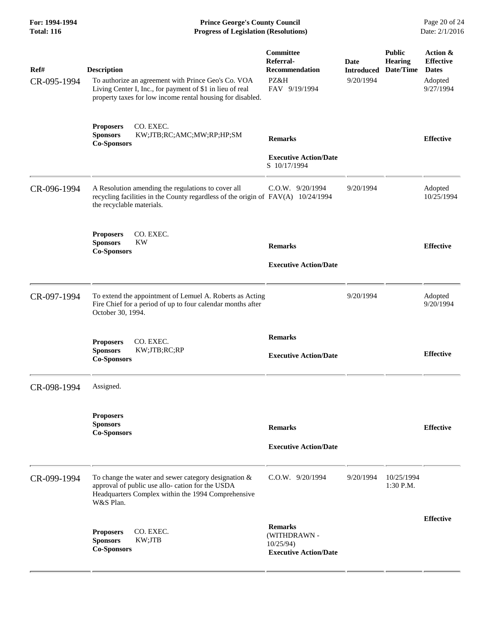**For: 1994-1994 Prince George's County Council** Page 20 of 24<br> **Progress of Legislation (Resolutions)** Date: 2/1/2016 **Total: 116 Progress of Legislation (Resolutions)** 

| Ref#<br>CR-095-1994 | <b>Description</b><br>To authorize an agreement with Prince Geo's Co. VOA<br>Living Center I, Inc., for payment of \$1 in lieu of real<br>property taxes for low income rental housing for disabled. | Committee<br>Referral-<br><b>Recommendation</b><br>PZ&H<br>FAV 9/19/1994       | Date<br><b>Introduced</b><br>9/20/1994 | <b>Public</b><br><b>Hearing</b><br>Date/Time | Action &<br><b>Effective</b><br><b>Dates</b><br>Adopted<br>9/27/1994 |
|---------------------|------------------------------------------------------------------------------------------------------------------------------------------------------------------------------------------------------|--------------------------------------------------------------------------------|----------------------------------------|----------------------------------------------|----------------------------------------------------------------------|
|                     | CO. EXEC.<br><b>Proposers</b><br><b>Sponsors</b><br>KW;JTB;RC;AMC;MW;RP;HP;SM<br><b>Co-Sponsors</b>                                                                                                  | <b>Remarks</b><br><b>Executive Action/Date</b><br>S 10/17/1994                 |                                        |                                              | <b>Effective</b>                                                     |
| CR-096-1994         | A Resolution amending the regulations to cover all<br>recycling facilities in the County regardless of the origin of FAV(A) 10/24/1994<br>the recyclable materials.                                  | $C.0.W.$ 9/20/1994                                                             | 9/20/1994                              |                                              | Adopted<br>10/25/1994                                                |
|                     | CO. EXEC.<br><b>Proposers</b><br><b>Sponsors</b><br><b>KW</b><br><b>Co-Sponsors</b>                                                                                                                  | <b>Remarks</b><br><b>Executive Action/Date</b>                                 |                                        |                                              | <b>Effective</b>                                                     |
| CR-097-1994         | To extend the appointment of Lemuel A. Roberts as Acting<br>Fire Chief for a period of up to four calendar months after<br>October 30, 1994.                                                         |                                                                                | 9/20/1994                              |                                              | Adopted<br>9/20/1994                                                 |
|                     | <b>Proposers</b><br>CO. EXEC.<br><b>Sponsors</b><br>KW;JTB;RC;RP<br><b>Co-Sponsors</b>                                                                                                               | <b>Remarks</b><br><b>Executive Action/Date</b>                                 |                                        |                                              | <b>Effective</b>                                                     |
| CR-098-1994         | Assigned.                                                                                                                                                                                            |                                                                                |                                        |                                              |                                                                      |
|                     | <b>Proposers</b><br><b>Sponsors</b><br><b>Co-Sponsors</b>                                                                                                                                            | <b>Remarks</b><br><b>Executive Action/Date</b>                                 |                                        |                                              | <b>Effective</b>                                                     |
| CR-099-1994         | To change the water and sewer category designation $\&$<br>approval of public use allo-cation for the USDA<br>Headquarters Complex within the 1994 Comprehensive<br>W&S Plan.                        | C.O.W. 9/20/1994                                                               | 9/20/1994                              | 10/25/1994<br>$1:30$ P.M.                    |                                                                      |
|                     | CO. EXEC.<br><b>Proposers</b><br><b>Sponsors</b><br>KW;JTB<br><b>Co-Sponsors</b>                                                                                                                     | <b>Remarks</b><br>(WITHDRAWN -<br>$10/25/94$ )<br><b>Executive Action/Date</b> |                                        |                                              | <b>Effective</b>                                                     |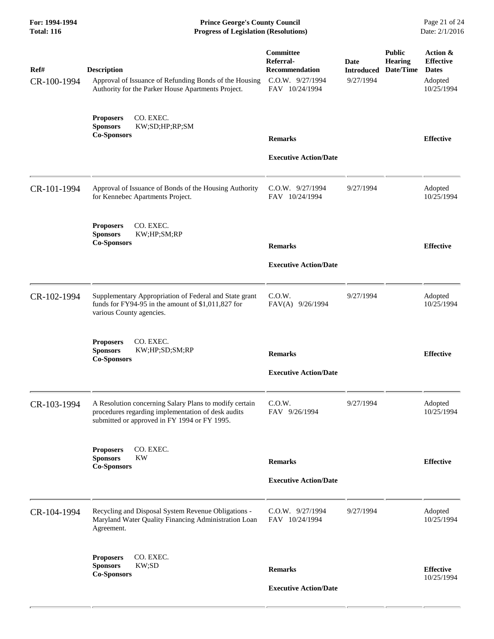| For: 1994-1994<br><b>Total: 116</b> | <b>Prince George's County Council</b><br>Date: 2/1/2016<br><b>Progress of Legislation (Resolutions)</b>                                                      |                                                                                       |                                               |                                              |                                                                       |
|-------------------------------------|--------------------------------------------------------------------------------------------------------------------------------------------------------------|---------------------------------------------------------------------------------------|-----------------------------------------------|----------------------------------------------|-----------------------------------------------------------------------|
| Ref#<br>CR-100-1994                 | <b>Description</b><br>Approval of Issuance of Refunding Bonds of the Housing<br>Authority for the Parker House Apartments Project.                           | Committee<br>Referral-<br><b>Recommendation</b><br>C.O.W. 9/27/1994<br>FAV 10/24/1994 | <b>Date</b><br><b>Introduced</b><br>9/27/1994 | <b>Public</b><br><b>Hearing</b><br>Date/Time | Action &<br><b>Effective</b><br><b>Dates</b><br>Adopted<br>10/25/1994 |
|                                     | CO. EXEC.<br><b>Proposers</b><br><b>Sponsors</b><br>KW;SD;HP;RP;SM<br><b>Co-Sponsors</b>                                                                     | <b>Remarks</b>                                                                        |                                               |                                              | <b>Effective</b>                                                      |
|                                     |                                                                                                                                                              | <b>Executive Action/Date</b>                                                          |                                               |                                              |                                                                       |
| CR-101-1994                         | Approval of Issuance of Bonds of the Housing Authority<br>for Kennebec Apartments Project.                                                                   | C.O.W. 9/27/1994<br>FAV 10/24/1994                                                    | 9/27/1994                                     |                                              | Adopted<br>10/25/1994                                                 |
|                                     | CO. EXEC.<br><b>Proposers</b><br>KW;HP;SM;RP<br><b>Sponsors</b><br><b>Co-Sponsors</b>                                                                        | <b>Remarks</b>                                                                        |                                               |                                              | <b>Effective</b>                                                      |
|                                     |                                                                                                                                                              | <b>Executive Action/Date</b>                                                          |                                               |                                              |                                                                       |
| CR-102-1994                         | Supplementary Appropriation of Federal and State grant<br>funds for FY94-95 in the amount of \$1,011,827 for<br>various County agencies.                     | C.0.W.<br>FAV(A) 9/26/1994                                                            | 9/27/1994                                     |                                              | Adopted<br>10/25/1994                                                 |
|                                     | CO. EXEC.<br><b>Proposers</b><br>KW;HP;SD;SM;RP<br><b>Sponsors</b><br><b>Co-Sponsors</b>                                                                     | <b>Remarks</b>                                                                        |                                               |                                              | <b>Effective</b>                                                      |
|                                     |                                                                                                                                                              | <b>Executive Action/Date</b>                                                          |                                               |                                              |                                                                       |
| CR-103-1994                         | A Resolution concerning Salary Plans to modify certain<br>procedures regarding implementation of desk audits<br>submitted or approved in FY 1994 or FY 1995. | C.O.W.<br>FAV 9/26/1994                                                               | 9/27/1994                                     |                                              | Adopted<br>10/25/1994                                                 |
|                                     | CO. EXEC.<br><b>Proposers</b><br><b>Sponsors</b><br><b>KW</b>                                                                                                |                                                                                       |                                               |                                              |                                                                       |
|                                     | <b>Co-Sponsors</b>                                                                                                                                           | <b>Remarks</b>                                                                        |                                               |                                              | <b>Effective</b>                                                      |
|                                     |                                                                                                                                                              | <b>Executive Action/Date</b>                                                          |                                               |                                              |                                                                       |
| CR-104-1994                         | Recycling and Disposal System Revenue Obligations -<br>Maryland Water Quality Financing Administration Loan<br>Agreement.                                    | C.O.W. 9/27/1994<br>FAV 10/24/1994                                                    | 9/27/1994                                     |                                              | Adopted<br>10/25/1994                                                 |
|                                     | CO. EXEC.<br><b>Proposers</b><br>KW;SD<br><b>Sponsors</b>                                                                                                    |                                                                                       |                                               |                                              |                                                                       |
|                                     | <b>Co-Sponsors</b>                                                                                                                                           | <b>Remarks</b><br><b>Executive Action/Date</b>                                        |                                               |                                              | <b>Effective</b><br>10/25/1994                                        |
|                                     |                                                                                                                                                              |                                                                                       |                                               |                                              |                                                                       |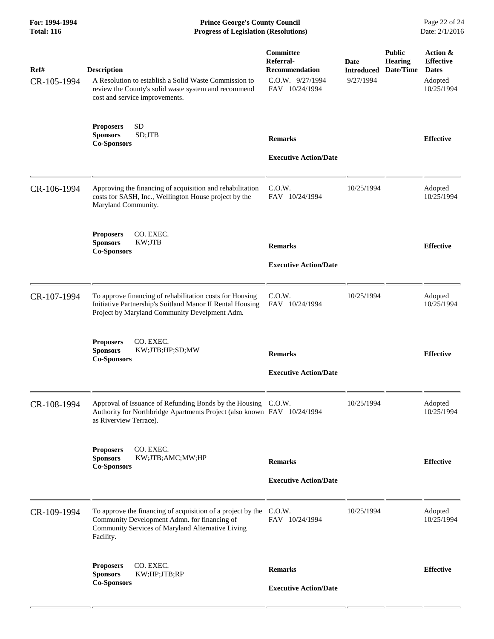**For: 1994-1994 Prince George's County Council** Page 22 of 24<br> **Progress of Legislation (Resolutions)** Date: 2/1/2016 **Total: 116 Progress of Legislation (Resolutions)** 

| Ref#<br>CR-105-1994 | <b>Description</b><br>A Resolution to establish a Solid Waste Commission to<br>review the County's solid waste system and recommend<br>cost and service improvements.                | Committee<br>Referral-<br><b>Recommendation</b><br>C.O.W. 9/27/1994<br>FAV 10/24/1994 | Date<br><b>Introduced</b><br>9/27/1994 | <b>Public</b><br><b>Hearing</b><br>Date/Time | Action &<br><b>Effective</b><br><b>Dates</b><br>Adopted<br>10/25/1994 |
|---------------------|--------------------------------------------------------------------------------------------------------------------------------------------------------------------------------------|---------------------------------------------------------------------------------------|----------------------------------------|----------------------------------------------|-----------------------------------------------------------------------|
|                     | <b>SD</b><br><b>Proposers</b><br>SD;JTB<br><b>Sponsors</b><br><b>Co-Sponsors</b>                                                                                                     | <b>Remarks</b><br><b>Executive Action/Date</b>                                        |                                        |                                              | <b>Effective</b>                                                      |
| CR-106-1994         | Approving the financing of acquisition and rehabilitation<br>costs for SASH, Inc., Wellington House project by the<br>Maryland Community.                                            | C.O.W.<br>FAV 10/24/1994                                                              | 10/25/1994                             |                                              | Adopted<br>10/25/1994                                                 |
|                     | CO. EXEC.<br><b>Proposers</b><br><b>Sponsors</b><br>KW;JTB<br><b>Co-Sponsors</b>                                                                                                     | <b>Remarks</b><br><b>Executive Action/Date</b>                                        |                                        |                                              | <b>Effective</b>                                                      |
| CR-107-1994         | To approve financing of rehabilitation costs for Housing<br>Initiative Partnership's Suitland Manor II Rental Housing<br>Project by Maryland Community Develpment Adm.               | C.0.W.<br>FAV 10/24/1994                                                              | 10/25/1994                             |                                              | Adopted<br>10/25/1994                                                 |
|                     | <b>Proposers</b><br>CO. EXEC.<br><b>Sponsors</b><br>KW;JTB;HP;SD;MW<br><b>Co-Sponsors</b>                                                                                            | <b>Remarks</b><br><b>Executive Action/Date</b>                                        |                                        |                                              | <b>Effective</b>                                                      |
| CR-108-1994         | Approval of Issuance of Refunding Bonds by the Housing C.O.W.<br>Authority for Northbridge Apartments Project (also known FAV 10/24/1994<br>as Riverview Terrace).                   |                                                                                       | 10/25/1994                             |                                              | Adopted<br>10/25/1994                                                 |
|                     | CO. EXEC.<br><b>Proposers</b><br><b>Sponsors</b><br>KW;JTB;AMC;MW;HP<br><b>Co-Sponsors</b>                                                                                           | <b>Remarks</b><br><b>Executive Action/Date</b>                                        |                                        |                                              | <b>Effective</b>                                                      |
| CR-109-1994         | To approve the financing of acquisition of a project by the C.O.W.<br>Community Development Admn. for financing of<br>Community Services of Maryland Alternative Living<br>Facility. | FAV 10/24/1994                                                                        | 10/25/1994                             |                                              | Adopted<br>10/25/1994                                                 |
|                     | CO. EXEC.<br><b>Proposers</b><br><b>Sponsors</b><br>KW;HP;JTB;RP<br><b>Co-Sponsors</b>                                                                                               | <b>Remarks</b><br><b>Executive Action/Date</b>                                        |                                        |                                              | <b>Effective</b>                                                      |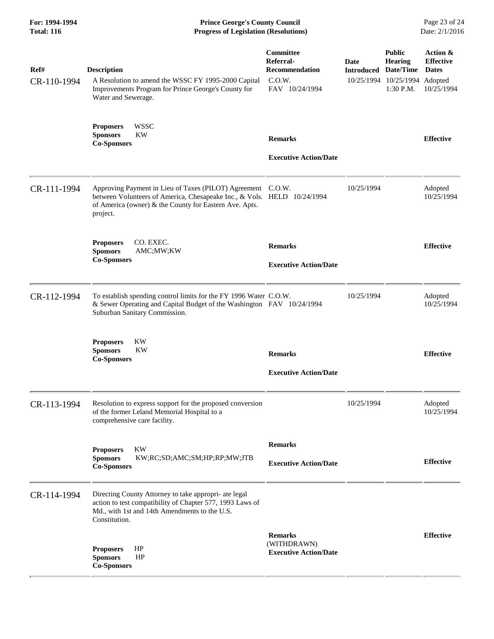| For: 1994-1994<br><b>Total: 116</b> | <b>Prince George's County Council</b><br>Date: 2/1/2016<br><b>Progress of Legislation (Resolutions)</b>                                                                                                      |                                                                                    |                                     |                                                                               |                                                            |
|-------------------------------------|--------------------------------------------------------------------------------------------------------------------------------------------------------------------------------------------------------------|------------------------------------------------------------------------------------|-------------------------------------|-------------------------------------------------------------------------------|------------------------------------------------------------|
| Ref#<br>CR-110-1994                 | <b>Description</b><br>A Resolution to amend the WSSC FY 1995-2000 Capital<br>Improvements Program for Prince George's County for<br>Water and Sewerage.                                                      | <b>Committee</b><br>Referral-<br><b>Recommendation</b><br>C.0.W.<br>FAV 10/24/1994 | Date<br><b>Introduced Date/Time</b> | <b>Public</b><br><b>Hearing</b><br>10/25/1994 10/25/1994 Adopted<br>1:30 P.M. | Action &<br><b>Effective</b><br><b>Dates</b><br>10/25/1994 |
|                                     | <b>WSSC</b><br><b>Proposers</b><br><b>Sponsors</b><br>KW<br><b>Co-Sponsors</b>                                                                                                                               | <b>Remarks</b><br><b>Executive Action/Date</b>                                     |                                     |                                                                               | <b>Effective</b>                                           |
| CR-111-1994                         | Approving Payment in Lieu of Taxes (PILOT) Agreement C.O.W.<br>between Volunteers of America, Chesapeake Inc., & Vols. HELD 10/24/1994<br>of America (owner) & the County for Eastern Ave. Apts.<br>project. |                                                                                    | 10/25/1994                          |                                                                               | Adopted<br>10/25/1994                                      |
|                                     | CO. EXEC.<br><b>Proposers</b><br><b>Sponsors</b><br>AMC;MW;KW<br><b>Co-Sponsors</b>                                                                                                                          | <b>Remarks</b><br><b>Executive Action/Date</b>                                     |                                     |                                                                               | <b>Effective</b>                                           |
| CR-112-1994                         | To establish spending control limits for the FY 1996 Water C.O.W.<br>& Sewer Operating and Capital Budget of the Washington FAV 10/24/1994<br>Suburban Sanitary Commission.                                  |                                                                                    | 10/25/1994                          |                                                                               | Adopted<br>10/25/1994                                      |
|                                     | KW<br><b>Proposers</b><br><b>Sponsors</b><br>KW<br><b>Co-Sponsors</b>                                                                                                                                        | <b>Remarks</b><br><b>Executive Action/Date</b>                                     |                                     |                                                                               | <b>Effective</b>                                           |
| CR-113-1994                         | Resolution to express support for the proposed conversion<br>of the former Leland Memorial Hospital to a<br>comprehensive care facility.                                                                     |                                                                                    | 10/25/1994                          |                                                                               | Adopted<br>10/25/1994                                      |
|                                     | KW<br><b>Proposers</b><br><b>Sponsors</b><br>KW;RC;SD;AMC;SM;HP;RP;MW;JTB<br><b>Co-Sponsors</b>                                                                                                              | <b>Remarks</b><br><b>Executive Action/Date</b>                                     |                                     |                                                                               | <b>Effective</b>                                           |
| CR-114-1994                         | Directing County Attorney to take appropri- ate legal<br>action to test compatibility of Chapter 577, 1993 Laws of<br>Md., with 1st and 14th Amendments to the U.S.<br>Constitution.                         |                                                                                    |                                     |                                                                               |                                                            |
|                                     | HP<br><b>Proposers</b><br><b>Sponsors</b><br>HP<br><b>Co-Sponsors</b>                                                                                                                                        | <b>Remarks</b><br>(WITHDRAWN)<br><b>Executive Action/Date</b>                      |                                     |                                                                               | <b>Effective</b>                                           |